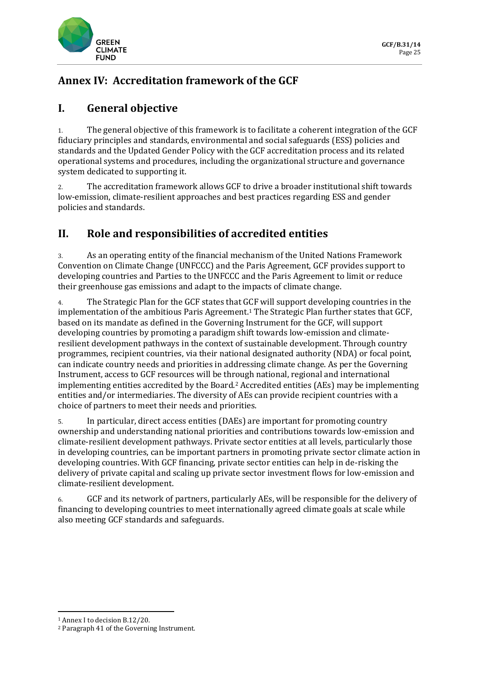

# **Annex IV: Accreditation framework of the GCF**

### **I. General objective**

1. The general objective of this framework is to facilitate a coherent integration of the GCF fiduciary principles and standards, environmental and social safeguards (ESS) policies and standards and the Updated Gender Policy with the GCF accreditation process and its related operational systems and procedures, including the organizational structure and governance system dedicated to supporting it.

2. The accreditation framework allows GCF to drive a broader institutional shift towards low-emission, climate-resilient approaches and best practices regarding ESS and gender policies and standards.

# **II. Role and responsibilities of accredited entities**

3. As an operating entity of the financial mechanism of the United Nations Framework Convention on Climate Change (UNFCCC) and the Paris Agreement, GCF provides support to developing countries and Parties to the UNFCCC and the Paris Agreement to limit or reduce their greenhouse gas emissions and adapt to the impacts of climate change.

4. The Strategic Plan for the GCF states that GCF will support developing countries in the implementation of the ambitious Paris Agreement.<sup>1</sup> The Strategic Plan further states that GCF, based on its mandate as defined in the Governing Instrument for the GCF, will support developing countries by promoting a paradigm shift towards low-emission and climateresilient development pathways in the context of sustainable development. Through country programmes, recipient countries, via their national designated authority (NDA) or focal point, can indicate country needs and priorities in addressing climate change. As per the Governing Instrument, access to GCF resources will be through national, regional and international implementing entities accredited by the Board.<sup>2</sup> Accredited entities (AEs) may be implementing entities and/or intermediaries. The diversity of AEs can provide recipient countries with a choice of partners to meet their needs and priorities.

5. In particular, direct access entities (DAEs) are important for promoting country ownership and understanding national priorities and contributions towards low-emission and climate-resilient development pathways. Private sector entities at all levels, particularly those in developing countries, can be important partners in promoting private sector climate action in developing countries. With GCF financing, private sector entities can help in de-risking the delivery of private capital and scaling up private sector investment flows for low-emission and climate-resilient development.

6. GCF and its network of partners, particularly AEs, will be responsible for the delivery of financing to developing countries to meet internationally agreed climate goals at scale while also meeting GCF standards and safeguards.

<sup>1</sup> Annex I to decision B.12/20.

<sup>2</sup> Paragraph 41 of the Governing Instrument.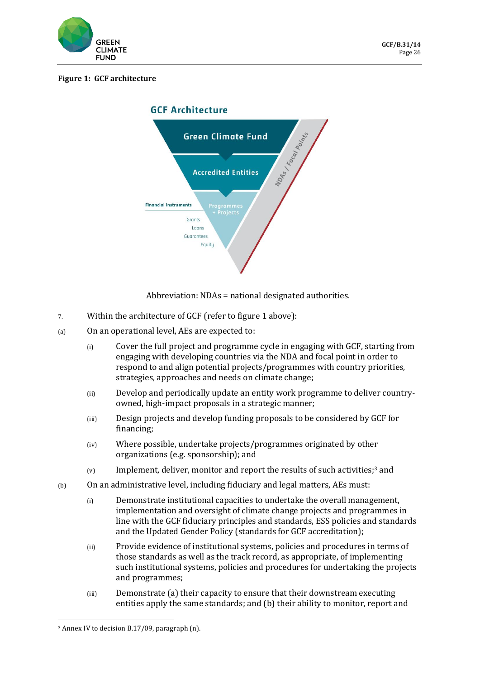

#### **Figure 1: GCF architecture**



Abbreviation: NDAs = national designated authorities.

- 7. Within the architecture of GCF (refer to figure 1 above):
- (a) On an operational level, AEs are expected to:
	- (i) Cover the full project and programme cycle in engaging with GCF, starting from engaging with developing countries via the NDA and focal point in order to respond to and align potential projects/programmes with country priorities, strategies, approaches and needs on climate change;
	- (ii) Develop and periodically update an entity work programme to deliver countryowned, high-impact proposals in a strategic manner;
	- (iii) Design projects and develop funding proposals to be considered by GCF for financing;
	- (iv) Where possible, undertake projects/programmes originated by other organizations (e.g. sponsorship); and
	- (v) Implement, deliver, monitor and report the results of such activities;<sup>3</sup> and
- (b) On an administrative level, including fiduciary and legal matters, AEs must:
	- (i) Demonstrate institutional capacities to undertake the overall management, implementation and oversight of climate change projects and programmes in line with the GCF fiduciary principles and standards, ESS policies and standards and the Updated Gender Policy (standards for GCF accreditation);
	- (ii) Provide evidence of institutional systems, policies and procedures in terms of those standards as well as the track record, as appropriate, of implementing such institutional systems, policies and procedures for undertaking the projects and programmes;
	- (iii) Demonstrate (a) their capacity to ensure that their downstream executing entities apply the same standards; and (b) their ability to monitor, report and

<sup>3</sup> Annex IV to decision B.17/09, paragraph (n).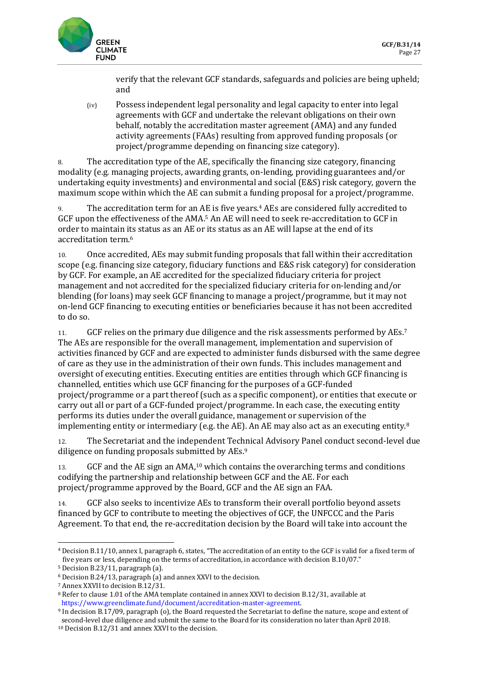

verify that the relevant GCF standards, safeguards and policies are being upheld; and

(iv) Possess independent legal personality and legal capacity to enter into legal agreements with GCF and undertake the relevant obligations on their own behalf, notably the accreditation master agreement (AMA) and any funded activity agreements (FAAs) resulting from approved funding proposals (or project/programme depending on financing size category).

8. The accreditation type of the AE, specifically the financing size category, financing modality (e.g. managing projects, awarding grants, on-lending, providing guarantees and/or undertaking equity investments) and environmental and social (E&S) risk category, govern the maximum scope within which the AE can submit a funding proposal for a project/programme.

9. The accreditation term for an AE is five years.<sup>4</sup> AEs are considered fully accredited to GCF upon the effectiveness of the AMA.<sup>5</sup> An AE will need to seek re-accreditation to GCF in order to maintain its status as an AE or its status as an AE will lapse at the end of its accreditation term.<sup>6</sup>

10. Once accredited, AEs may submit funding proposals that fall within their accreditation scope (e.g. financing size category, fiduciary functions and E&S risk category) for consideration by GCF. For example, an AE accredited for the specialized fiduciary criteria for project management and not accredited for the specialized fiduciary criteria for on-lending and/or blending (for loans) may seek GCF financing to manage a project/programme, but it may not on-lend GCF financing to executing entities or beneficiaries because it has not been accredited to do so.

11. GCF relies on the primary due diligence and the risk assessments performed by AEs.<sup>7</sup> The AEs are responsible for the overall management, implementation and supervision of activities financed by GCF and are expected to administer funds disbursed with the same degree of care as they use in the administration of their own funds. This includes management and oversight of executing entities. Executing entities are entities through which GCF financing is channelled, entities which use GCF financing for the purposes of a GCF-funded project/programme or a part thereof (such as a specific component), or entities that execute or carry out all or part of a GCF-funded project/programme. In each case, the executing entity performs its duties under the overall guidance, management or supervision of the implementing entity or intermediary (e.g. the AE). An AE may also act as an executing entity. $8$ 

12. The Secretariat and the independent Technical Advisory Panel conduct second-level due diligence on funding proposals submitted by AEs.<sup>9</sup>

13. GCF and the AE sign an AMA,<sup>10</sup> which contains the overarching terms and conditions codifying the partnership and relationship between GCF and the AE. For each project/programme approved by the Board, GCF and the AE sign an FAA.

14. GCF also seeks to incentivize AEs to transform their overall portfolio beyond assets financed by GCF to contribute to meeting the objectives of GCF, the UNFCCC and the Paris Agreement. To that end, the re-accreditation decision by the Board will take into account the

<sup>4</sup> Decision B.11/10, annex I, paragraph 6, states, "The accreditation of an entity to the GCF is valid for a fixed term of five years or less, depending on the terms of accreditation, in accordance with decision B.10/07."

<sup>5</sup> Decision B.23/11, paragraph (a).

<sup>6</sup> Decision B.24/13, paragraph (a) and annex XXVI to the decision.

<sup>7</sup> Annex XXVII to decision B.12/31.

<sup>8</sup> Refer to clause 1.01 of the AMA template contained in annex XXVI to decision B.12/31, available at [https://www.greenclimate.fund/document/accreditation-master-agreement.](https://www.greenclimate.fund/document/accreditation-master-agreement)

<sup>9</sup> In decision B.17/09, paragraph (o), the Board requested the Secretariat to define the nature, scope and extent of second-level due diligence and submit the same to the Board for its consideration no later than April 2018.

<sup>10</sup> Decision B.12/31 and annex XXVI to the decision.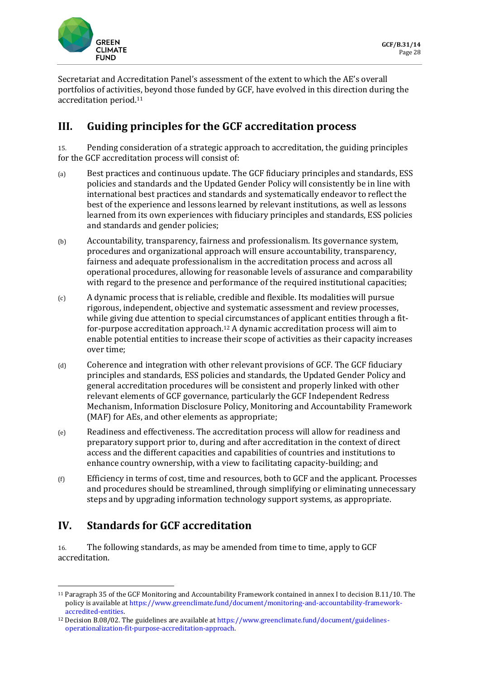

Secretariat and Accreditation Panel's assessment of the extent to which the AE's overall portfolios of activities, beyond those funded by GCF, have evolved in this direction during the accreditation period.<sup>11</sup>

### **III. Guiding principles for the GCF accreditation process**

15. Pending consideration of a strategic approach to accreditation, the guiding principles for the GCF accreditation process will consist of:

- (a) Best practices and continuous update. The GCF fiduciary principles and standards, ESS policies and standards and the Updated Gender Policy will consistently be in line with international best practices and standards and systematically endeavor to reflect the best of the experience and lessons learned by relevant institutions, as well as lessons learned from its own experiences with fiduciary principles and standards, ESS policies and standards and gender policies;
- (b) Accountability, transparency, fairness and professionalism. Its governance system, procedures and organizational approach will ensure accountability, transparency, fairness and adequate professionalism in the accreditation process and across all operational procedures, allowing for reasonable levels of assurance and comparability with regard to the presence and performance of the required institutional capacities;
- (c) A dynamic process that is reliable, credible and flexible. Its modalities will pursue rigorous, independent, objective and systematic assessment and review processes, while giving due attention to special circumstances of applicant entities through a fitfor-purpose accreditation approach.<sup>12</sup> A dynamic accreditation process will aim to enable potential entities to increase their scope of activities as their capacity increases over time;
- (d) Coherence and integration with other relevant provisions of GCF. The GCF fiduciary principles and standards, ESS policies and standards, the Updated Gender Policy and general accreditation procedures will be consistent and properly linked with other relevant elements of GCF governance, particularly the GCF Independent Redress Mechanism, Information Disclosure Policy, Monitoring and Accountability Framework (MAF) for AEs, and other elements as appropriate;
- (e) Readiness and effectiveness. The accreditation process will allow for readiness and preparatory support prior to, during and after accreditation in the context of direct access and the different capacities and capabilities of countries and institutions to enhance country ownership, with a view to facilitating capacity-building; and
- (f) Efficiency in terms of cost, time and resources, both to GCF and the applicant. Processes and procedures should be streamlined, through simplifying or eliminating unnecessary steps and by upgrading information technology support systems, as appropriate.

### **IV. Standards for GCF accreditation**

16. The following standards, as may be amended from time to time, apply to GCF accreditation.

<sup>11</sup> Paragraph 35 of the GCF Monitoring and Accountability Framework contained in annex I to decision B.11/10. The policy is available a[t https://www.greenclimate.fund/document/monitoring-and-accountability-framework](https://www.greenclimate.fund/document/monitoring-and-accountability-framework-accredited-entities)[accredited-entities.](https://www.greenclimate.fund/document/monitoring-and-accountability-framework-accredited-entities)

<sup>12</sup> Decision B.08/02. The guidelines are available a[t https://www.greenclimate.fund/document/guidelines](https://www.greenclimate.fund/document/guidelines-operationalization-fit-purpose-accreditation-approach)[operationalization-fit-purpose-accreditation-approach.](https://www.greenclimate.fund/document/guidelines-operationalization-fit-purpose-accreditation-approach)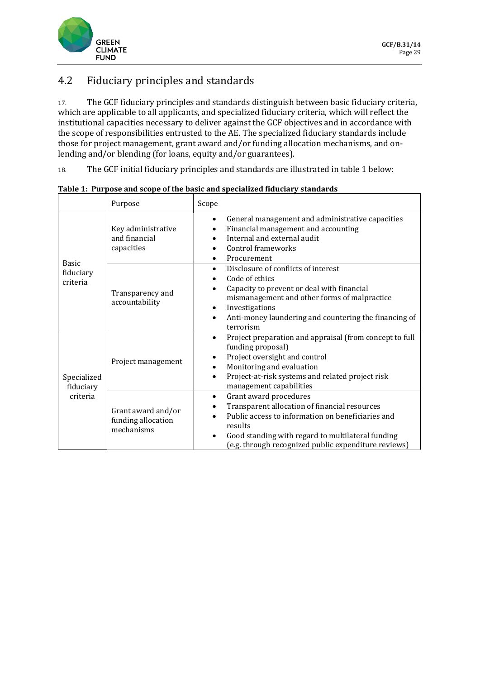

# 4.2 Fiduciary principles and standards

17. The GCF fiduciary principles and standards distinguish between basic fiduciary criteria, which are applicable to all applicants, and specialized fiduciary criteria, which will reflect the institutional capacities necessary to deliver against the GCF objectives and in accordance with the scope of responsibilities entrusted to the AE. The specialized fiduciary standards include those for project management, grant award and/or funding allocation mechanisms, and onlending and/or blending (for loans, equity and/or guarantees).

18. The GCF initial fiduciary principles and standards are illustrated in table 1 below:

|                                       | Purpose                                                | Scope                                                                                                                                                                                                                                                                          |
|---------------------------------------|--------------------------------------------------------|--------------------------------------------------------------------------------------------------------------------------------------------------------------------------------------------------------------------------------------------------------------------------------|
| <b>Basic</b><br>fiduciary<br>criteria | Key administrative<br>and financial<br>capacities      | General management and administrative capacities<br>$\bullet$<br>Financial management and accounting<br>Internal and external audit<br>Control frameworks<br>Procurement                                                                                                       |
|                                       | Transparency and<br>accountability                     | Disclosure of conflicts of interest<br>Code of ethics<br>Capacity to prevent or deal with financial<br>mismanagement and other forms of malpractice<br>Investigations<br>Anti-money laundering and countering the financing of<br>$\bullet$<br>terrorism                       |
| Specialized<br>fiduciary<br>criteria  | Project management                                     | Project preparation and appraisal (from concept to full<br>$\bullet$<br>funding proposal)<br>Project oversight and control<br>٠<br>Monitoring and evaluation<br>Project-at-risk systems and related project risk<br>$\bullet$<br>management capabilities                       |
|                                       | Grant award and/or<br>funding allocation<br>mechanisms | Grant award procedures<br>$\bullet$<br>Transparent allocation of financial resources<br>Public access to information on beneficiaries and<br>results<br>Good standing with regard to multilateral funding<br>$\bullet$<br>(e.g. through recognized public expenditure reviews) |

**Table 1: Purpose and scope of the basic and specialized fiduciary standards**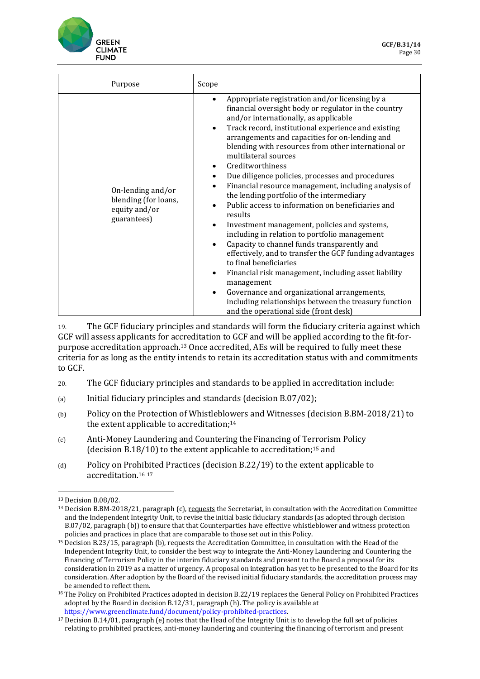

| Purpose                                                                   | Scope                                                                                                                                                                                                                                                                                                                                                                                                                                                                                                                                                                                                                                                                                                                                                                                                                                                                                                                                                                                                                                                                                                                          |
|---------------------------------------------------------------------------|--------------------------------------------------------------------------------------------------------------------------------------------------------------------------------------------------------------------------------------------------------------------------------------------------------------------------------------------------------------------------------------------------------------------------------------------------------------------------------------------------------------------------------------------------------------------------------------------------------------------------------------------------------------------------------------------------------------------------------------------------------------------------------------------------------------------------------------------------------------------------------------------------------------------------------------------------------------------------------------------------------------------------------------------------------------------------------------------------------------------------------|
| On-lending and/or<br>blending (for loans,<br>equity and/or<br>guarantees) | Appropriate registration and/or licensing by a<br>$\bullet$<br>financial oversight body or regulator in the country<br>and/or internationally, as applicable<br>Track record, institutional experience and existing<br>$\bullet$<br>arrangements and capacities for on-lending and<br>blending with resources from other international or<br>multilateral sources<br>Creditworthiness<br>Due diligence policies, processes and procedures<br>$\bullet$<br>Financial resource management, including analysis of<br>the lending portfolio of the intermediary<br>Public access to information on beneficiaries and<br>results<br>Investment management, policies and systems,<br>$\bullet$<br>including in relation to portfolio management<br>Capacity to channel funds transparently and<br>$\bullet$<br>effectively, and to transfer the GCF funding advantages<br>to final beneficiaries<br>Financial risk management, including asset liability<br>management<br>Governance and organizational arrangements,<br>$\bullet$<br>including relationships between the treasury function<br>and the operational side (front desk) |

19. The GCF fiduciary principles and standards will form the fiduciary criteria against which GCF will assess applicants for accreditation to GCF and will be applied according to the fit-forpurpose accreditation approach.<sup>13</sup> Once accredited, AEs will be required to fully meet these criteria for as long as the entity intends to retain its accreditation status with and commitments to GCF.

- 20. The GCF fiduciary principles and standards to be applied in accreditation include:
- (a) Initial fiduciary principles and standards (decision B.07/02);
- (b) Policy on the Protection of Whistleblowers and Witnesses (decision B.BM-2018/21) to the extent applicable to accreditation;<sup>14</sup>
- (c) Anti-Money Laundering and Countering the Financing of Terrorism Policy (decision B.18/10) to the extent applicable to accreditation;<sup>15</sup> and
- (d) Policy on Prohibited Practices (decision B.22/19) to the extent applicable to accreditation.<sup>16</sup> <sup>17</sup>

<sup>13</sup> Decision B.08/02.

<sup>&</sup>lt;sup>14</sup> Decision B.BM-2018/21, paragraph (c), requests the Secretariat, in consultation with the Accreditation Committee and the Independent Integrity Unit, to revise the initial basic fiduciary standards (as adopted through decision B.07/02, paragraph (b)) to ensure that that Counterparties have effective whistleblower and witness protection policies and practices in place that are comparable to those set out in this Policy.

<sup>&</sup>lt;sup>15</sup> Decision B.23/15, paragraph (b), requests the Accreditation Committee, in consultation with the Head of the Independent Integrity Unit, to consider the best way to integrate the Anti-Money Laundering and Countering the Financing of Terrorism Policy in the interim fiduciary standards and present to the Board a proposal for its consideration in 2019 as a matter of urgency. A proposal on integration has yet to be presented to the Board for its consideration. After adoption by the Board of the revised initial fiduciary standards, the accreditation process may be amended to reflect them.

<sup>&</sup>lt;sup>16</sup> The Policy on Prohibited Practices adopted in decision B.22/19 replaces the General Policy on Prohibited Practices adopted by the Board in decision B.12/31, paragraph (h). The policy is available at [https://www.greenclimate.fund/document/policy-prohibited-practices.](https://www.greenclimate.fund/document/policy-prohibited-practices)

<sup>17</sup> Decision B.14/01, paragraph (e) notes that the Head of the Integrity Unit is to develop the full set of policies relating to prohibited practices, anti-money laundering and countering the financing of terrorism and present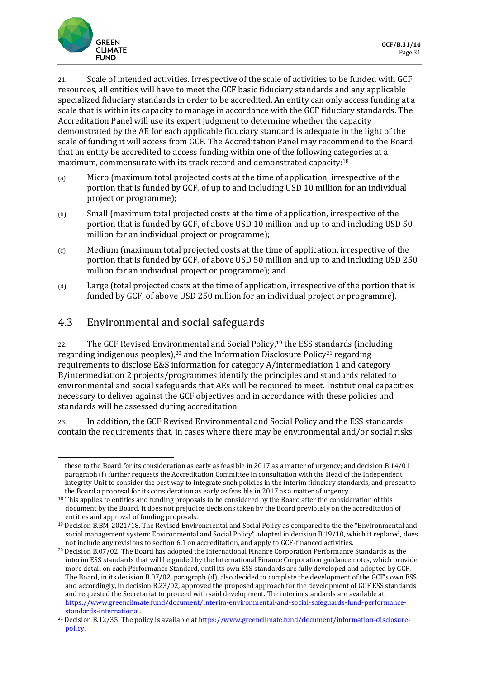

21. Scale of intended activities. Irrespective of the scale of activities to be funded with GCF resources, all entities will have to meet the GCF basic fiduciary standards and any applicable specialized fiduciary standards in order to be accredited. An entity can only access funding at a scale that is within its capacity to manage in accordance with the GCF fiduciary standards. The Accreditation Panel will use its expert judgment to determine whether the capacity demonstrated by the AE for each applicable fiduciary standard is adequate in the light of the scale of funding it will access from GCF. The Accreditation Panel may recommend to the Board that an entity be accredited to access funding within one of the following categories at a maximum, commensurate with its track record and demonstrated capacity:<sup>18</sup>

- (a) Micro (maximum total projected costs at the time of application, irrespective of the portion that is funded by GCF, of up to and including USD 10 million for an individual project or programme);
- (b) Small (maximum total projected costs at the time of application, irrespective of the portion that is funded by GCF, of above USD 10 million and up to and including USD 50 million for an individual project or programme);
- (c) Medium (maximum total projected costs at the time of application, irrespective of the portion that is funded by GCF, of above USD 50 million and up to and including USD 250 million for an individual project or programme); and
- (d) Large (total projected costs at the time of application, irrespective of the portion that is funded by GCF, of above USD 250 million for an individual project or programme).

### 4.3 Environmental and social safeguards

22. The GCF Revised Environmental and Social Policy,<sup>19</sup> the ESS standards (including regarding indigenous peoples),<sup>20</sup> and the Information Disclosure Policy<sup>21</sup> regarding requirements to disclose E&S information for category A/intermediation 1 and category B/intermediation 2 projects/programmes identify the principles and standards related to environmental and social safeguards that AEs will be required to meet. Institutional capacities necessary to deliver against the GCF objectives and in accordance with these policies and standards will be assessed during accreditation.

23. In addition, the GCF Revised Environmental and Social Policy and the ESS standards contain the requirements that, in cases where there may be environmental and/or social risks

these to the Board for its consideration as early as feasible in 2017 as a matter of urgency; and decision B.14/01 paragraph (f) further requests the Accreditation Committee in consultation with the Head of the Independent Integrity Unit to consider the best way to integrate such policies in the interim fiduciary standards, and present to the Board a proposal for its consideration as early as feasible in 2017 as a matter of urgency.

<sup>&</sup>lt;sup>18</sup> This applies to entities and funding proposals to be considered by the Board after the consideration of this document by the Board. It does not prejudice decisions taken by the Board previously on the accreditation of entities and approval of funding proposals.

<sup>19</sup> Decision B.BM-2021/18. The Revised Environmental and Social Policy as compared to the the "Environmental and social management system: Environmental and Social Policy" adopted in decision B.19/10, which it replaced, does not include any revisions to section 6.1 on accreditation, and apply to GCF-financed activities.

<sup>&</sup>lt;sup>20</sup> Decision B.07/02. The Board has adopted the International Finance Corporation Performance Standards as the interim ESS standards that will be guided by the International Finance Corporation guidance notes, which provide more detail on each Performance Standard, until its own ESS standards are fully developed and adopted by GCF. The Board, in its decision B.07/02, paragraph (d), also decided to complete the development of the GCF's own ESS and accordingly, in decision B.23/02, approved the proposed approach for the development of GCF ESS standards and requested the Secretariat to proceed with said development. The interim standards are available at [https://www.greenclimate.fund/document/interim-environmental-and-social-safeguards-fund-performance](https://www.greenclimate.fund/document/interim-environmental-and-social-safeguards-fund-performance-standards-international)[standards-international.](https://www.greenclimate.fund/document/interim-environmental-and-social-safeguards-fund-performance-standards-international)

<sup>21</sup> Decision B.12/35. The policy is available a[t https://www.greenclimate.fund/document/information-disclosure](https://www.greenclimate.fund/document/information-disclosure-policy)[policy.](https://www.greenclimate.fund/document/information-disclosure-policy)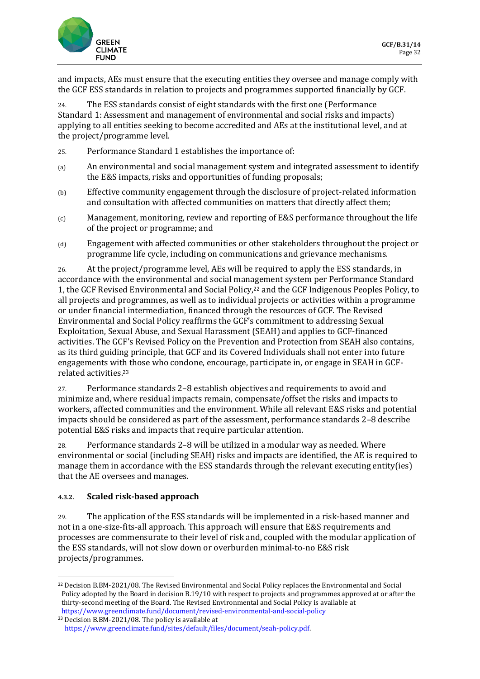

and impacts, AEs must ensure that the executing entities they oversee and manage comply with the GCF ESS standards in relation to projects and programmes supported financially by GCF.

24. The ESS standards consist of eight standards with the first one (Performance Standard 1: Assessment and management of environmental and social risks and impacts) applying to all entities seeking to become accredited and AEs at the institutional level, and at the project/programme level.

- 25. Performance Standard 1 establishes the importance of:
- (a) An environmental and social management system and integrated assessment to identify the E&S impacts, risks and opportunities of funding proposals;
- (b) Effective community engagement through the disclosure of project-related information and consultation with affected communities on matters that directly affect them;
- (c) Management, monitoring, review and reporting of E&S performance throughout the life of the project or programme; and
- (d) Engagement with affected communities or other stakeholders throughout the project or programme life cycle, including on communications and grievance mechanisms.

26. At the project/programme level, AEs will be required to apply the ESS standards, in accordance with the environmental and social management system per Performance Standard 1, the GCF Revised Environmental and Social Policy,<sup>22</sup> and the GCF Indigenous Peoples Policy, to all projects and programmes, as well as to individual projects or activities within a programme or under financial intermediation, financed through the resources of GCF. The Revised Environmental and Social Policy reaffirms the GCF's commitment to addressing Sexual Exploitation, Sexual Abuse, and Sexual Harassment (SEAH) and applies to GCF-financed activities. The GCF's Revised Policy on the Prevention and Protection from SEAH also contains, as its third guiding principle, that GCF and its Covered Individuals shall not enter into future engagements with those who condone, encourage, participate in, or engage in SEAH in GCFrelated activities.<sup>23</sup>

27. Performance standards 2–8 establish objectives and requirements to avoid and minimize and, where residual impacts remain, compensate/offset the risks and impacts to workers, affected communities and the environment. While all relevant E&S risks and potential impacts should be considered as part of the assessment, performance standards 2–8 describe potential E&S risks and impacts that require particular attention.

28. Performance standards 2–8 will be utilized in a modular way as needed. Where environmental or social (including SEAH) risks and impacts are identified, the AE is required to manage them in accordance with the ESS standards through the relevant executing entity(ies) that the AE oversees and manages.

#### **4.3.2. Scaled risk-based approach**

29. The application of the ESS standards will be implemented in a risk-based manner and not in a one-size-fits-all approach. This approach will ensure that E&S requirements and processes are commensurate to their level of risk and, coupled with the modular application of the ESS standards, will not slow down or overburden minimal-to-no E&S risk projects/programmes.

<sup>22</sup> Decision B.BM-2021/08. The Revised Environmental and Social Policy replaces the Environmental and Social Policy adopted by the Board in decision B.19/10 with respect to projects and programmes approved at or after the thirty-second meeting of the Board. The Revised Environmental and Social Policy is available at <https://www.greenclimate.fund/document/revised-environmental-and-social-policy>

<sup>23</sup> Decision B.BM-2021/08. The policy is available at [https://www.greenclimate.fund/sites/default/files/document/seah-policy.pdf.](https://www.greenclimate.fund/sites/default/files/document/seah-policy.pdf)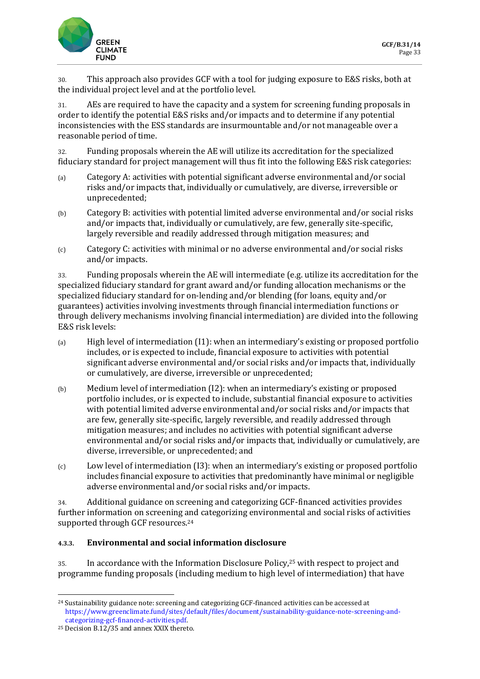

30. This approach also provides GCF with a tool for judging exposure to E&S risks, both at the individual project level and at the portfolio level.

31. AEs are required to have the capacity and a system for screening funding proposals in order to identify the potential E&S risks and/or impacts and to determine if any potential inconsistencies with the ESS standards are insurmountable and/or not manageable over a reasonable period of time.

32. Funding proposals wherein the AE will utilize its accreditation for the specialized fiduciary standard for project management will thus fit into the following E&S risk categories:

- (a) Category A: activities with potential significant adverse environmental and/or social risks and/or impacts that, individually or cumulatively, are diverse, irreversible or unprecedented;
- (b) Category B: activities with potential limited adverse environmental and/or social risks and/or impacts that, individually or cumulatively, are few, generally site-specific, largely reversible and readily addressed through mitigation measures; and
- (c) Category C: activities with minimal or no adverse environmental and/or social risks and/or impacts.

33. Funding proposals wherein the AE will intermediate (e.g. utilize its accreditation for the specialized fiduciary standard for grant award and/or funding allocation mechanisms or the specialized fiduciary standard for on-lending and/or blending (for loans, equity and/or guarantees) activities involving investments through financial intermediation functions or through delivery mechanisms involving financial intermediation) are divided into the following E&S risk levels:

- (a) High level of intermediation (I1): when an intermediary's existing or proposed portfolio includes, or is expected to include, financial exposure to activities with potential significant adverse environmental and/or social risks and/or impacts that, individually or cumulatively, are diverse, irreversible or unprecedented;
- (b) Medium level of intermediation (I2): when an intermediary's existing or proposed portfolio includes, or is expected to include, substantial financial exposure to activities with potential limited adverse environmental and/or social risks and/or impacts that are few, generally site-specific, largely reversible, and readily addressed through mitigation measures; and includes no activities with potential significant adverse environmental and/or social risks and/or impacts that, individually or cumulatively, are diverse, irreversible, or unprecedented; and
- (c) Low level of intermediation (I3): when an intermediary's existing or proposed portfolio includes financial exposure to activities that predominantly have minimal or negligible adverse environmental and/or social risks and/or impacts.

34. Additional guidance on screening and categorizing GCF-financed activities provides further information on screening and categorizing environmental and social risks of activities supported through GCF resources.<sup>24</sup>

### **4.3.3. Environmental and social information disclosure**

35. In accordance with the Information Disclosure Policy,<sup>25</sup> with respect to project and programme funding proposals (including medium to high level of intermediation) that have

<sup>&</sup>lt;sup>24</sup> Sustainability guidance note: screening and categorizing GCF-financed activities can be accessed at [https://www.greenclimate.fund/sites/default/files/document/sustainability-guidance-note-screening-and](https://www.greenclimate.fund/sites/default/files/document/sustainability-guidance-note-screening-and-categorizing-gcf-financed-activities.pdf)[categorizing-gcf-financed-activities.pdf.](https://www.greenclimate.fund/sites/default/files/document/sustainability-guidance-note-screening-and-categorizing-gcf-financed-activities.pdf)

<sup>25</sup> Decision B.12/35 and annex XXIX thereto.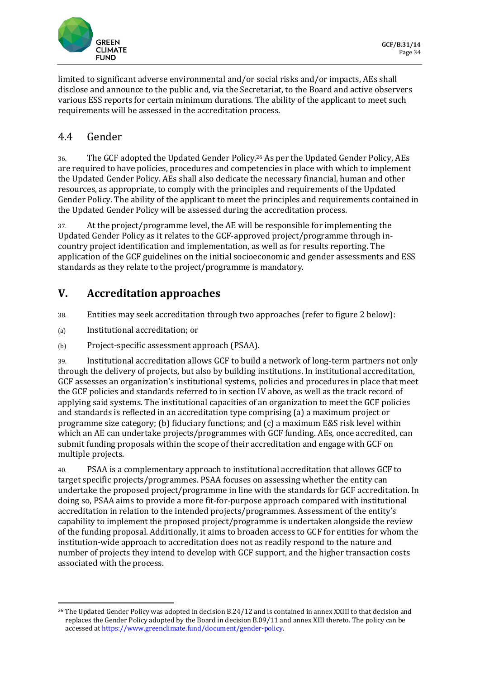

limited to significant adverse environmental and/or social risks and/or impacts, AEs shall disclose and announce to the public and, via the Secretariat, to the Board and active observers various ESS reports for certain minimum durations. The ability of the applicant to meet such requirements will be assessed in the accreditation process.

### 4.4 Gender

36. The GCF adopted the Updated Gender Policy. <sup>26</sup> As per the Updated Gender Policy, AEs are required to have policies, procedures and competencies in place with which to implement the Updated Gender Policy. AEs shall also dedicate the necessary financial, human and other resources, as appropriate, to comply with the principles and requirements of the Updated Gender Policy. The ability of the applicant to meet the principles and requirements contained in the Updated Gender Policy will be assessed during the accreditation process.

37. At the project/programme level, the AE will be responsible for implementing the Updated Gender Policy as it relates to the GCF-approved project/programme through incountry project identification and implementation, as well as for results reporting. The application of the GCF guidelines on the initial socioeconomic and gender assessments and ESS standards as they relate to the project/programme is mandatory.

# **V. Accreditation approaches**

38. Entities may seek accreditation through two approaches (refer to figure 2 below):

- (a) Institutional accreditation; or
- (b) Project-specific assessment approach (PSAA).

39. Institutional accreditation allows GCF to build a network of long-term partners not only through the delivery of projects, but also by building institutions. In institutional accreditation, GCF assesses an organization's institutional systems, policies and procedures in place that meet the GCF policies and standards referred to in section IV above, as well as the track record of applying said systems. The institutional capacities of an organization to meet the GCF policies and standards is reflected in an accreditation type comprising (a) a maximum project or programme size category; (b) fiduciary functions; and (c) a maximum E&S risk level within which an AE can undertake projects/programmes with GCF funding. AEs, once accredited, can submit funding proposals within the scope of their accreditation and engage with GCF on multiple projects.

40. PSAA is a complementary approach to institutional accreditation that allows GCF to target specific projects/programmes. PSAA focuses on assessing whether the entity can undertake the proposed project/programme in line with the standards for GCF accreditation. In doing so, PSAA aims to provide a more fit-for-purpose approach compared with institutional accreditation in relation to the intended projects/programmes. Assessment of the entity's capability to implement the proposed project/programme is undertaken alongside the review of the funding proposal. Additionally, it aims to broaden access to GCF for entities for whom the institution-wide approach to accreditation does not as readily respond to the nature and number of projects they intend to develop with GCF support, and the higher transaction costs associated with the process.

<sup>&</sup>lt;sup>26</sup> The Updated Gender Policy was adopted in decision B.24/12 and is contained in annex XXIII to that decision and replaces the Gender Policy adopted by the Board in decision B.09/11 and annex XIII thereto. The policy can be accessed a[t https://www.greenclimate.fund/document/gender-policy.](https://www.greenclimate.fund/document/gender-policy)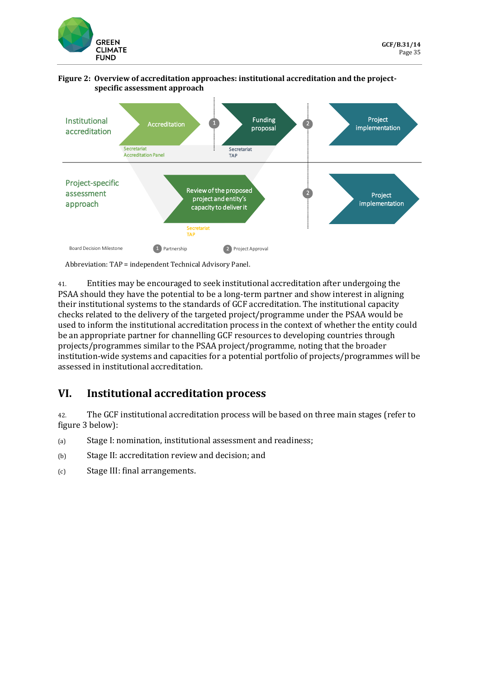

#### **Figure 2: Overview of accreditation approaches: institutional accreditation and the projectspecific assessment approach**



Abbreviation: TAP = independent Technical Advisory Panel.

41. Entities may be encouraged to seek institutional accreditation after undergoing the PSAA should they have the potential to be a long-term partner and show interest in aligning their institutional systems to the standards of GCF accreditation. The institutional capacity checks related to the delivery of the targeted project/programme under the PSAA would be used to inform the institutional accreditation process in the context of whether the entity could be an appropriate partner for channelling GCF resources to developing countries through projects/programmes similar to the PSAA project/programme, noting that the broader institution-wide systems and capacities for a potential portfolio of projects/programmes will be assessed in institutional accreditation.

## **VI. Institutional accreditation process**

42. The GCF institutional accreditation process will be based on three main stages (refer to figure 3 below):

- (a) Stage I: nomination, institutional assessment and readiness;
- (b) Stage II: accreditation review and decision; and
- (c) Stage III: final arrangements.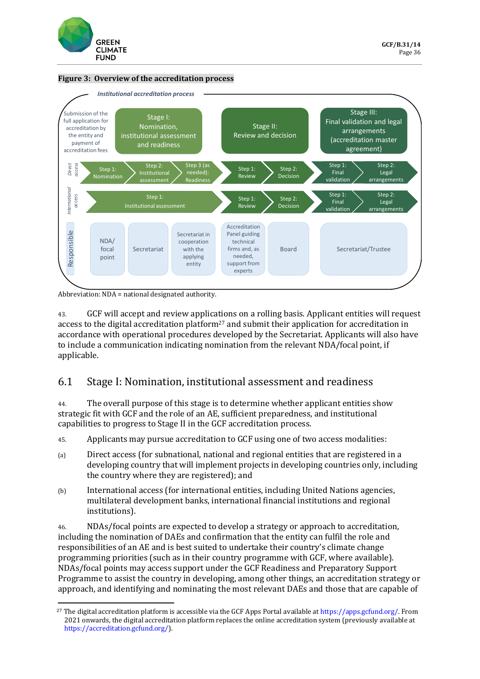

#### **Figure 3: Overview of the accreditation process**



Abbreviation: NDA = national designated authority.

43. GCF will accept and review applications on a rolling basis. Applicant entities will request access to the digital accreditation platform<sup>27</sup> and submit their application for accreditation in accordance with operational procedures developed by the Secretariat. Applicants will also have to include a communication indicating nomination from the relevant NDA/focal point, if applicable.

### 6.1 Stage I: Nomination, institutional assessment and readiness

44. The overall purpose of this stage is to determine whether applicant entities show strategic fit with GCF and the role of an AE, sufficient preparedness, and institutional capabilities to progress to Stage II in the GCF accreditation process.

45. Applicants may pursue accreditation to GCF using one of two access modalities:

- (a) Direct access (for subnational, national and regional entities that are registered in a developing country that will implement projects in developing countries only, including the country where they are registered); and
- (b) International access (for international entities, including United Nations agencies, multilateral development banks, international financial institutions and regional institutions).

46. NDAs/focal points are expected to develop a strategy or approach to accreditation, including the nomination of DAEs and confirmation that the entity can fulfil the role and responsibilities of an AE and is best suited to undertake their country's climate change programming priorities (such as in their country programme with GCF, where available). NDAs/focal points may access support under the GCF Readiness and Preparatory Support Programme to assist the country in developing, among other things, an accreditation strategy or approach, and identifying and nominating the most relevant DAEs and those that are capable of

<sup>&</sup>lt;sup>27</sup> The digital accreditation platform is accessible via the GCF Apps Portal available a[t https://apps.gcfund.org/.](https://apps.gcfund.org/) From 2021 onwards, the digital accreditation platform replaces the online accreditation system (previously available at [https://accreditation.gcfund.org/\)](https://accreditation.gcfund.org/).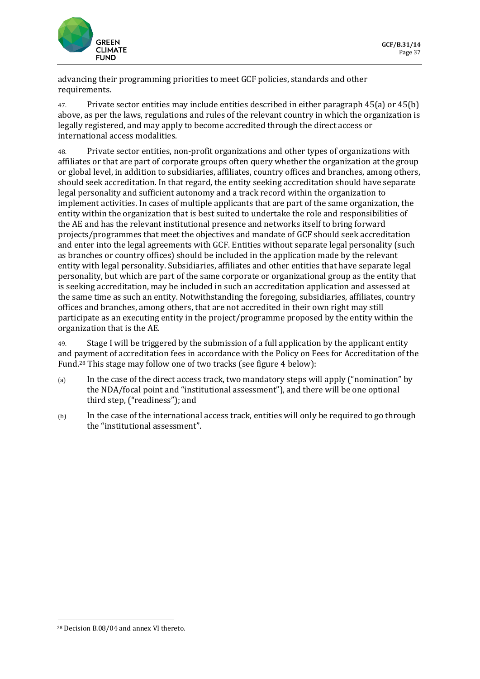

advancing their programming priorities to meet GCF policies, standards and other requirements.

47. Private sector entities may include entities described in either paragraph 45(a) or 45(b) above, as per the laws, regulations and rules of the relevant country in which the organization is legally registered, and may apply to become accredited through the direct access or international access modalities.

48. Private sector entities, non-profit organizations and other types of organizations with affiliates or that are part of corporate groups often query whether the organization at the group or global level, in addition to subsidiaries, affiliates, country offices and branches, among others, should seek accreditation. In that regard, the entity seeking accreditation should have separate legal personality and sufficient autonomy and a track record within the organization to implement activities. In cases of multiple applicants that are part of the same organization, the entity within the organization that is best suited to undertake the role and responsibilities of the AE and has the relevant institutional presence and networks itself to bring forward projects/programmes that meet the objectives and mandate of GCF should seek accreditation and enter into the legal agreements with GCF. Entities without separate legal personality (such as branches or country offices) should be included in the application made by the relevant entity with legal personality. Subsidiaries, affiliates and other entities that have separate legal personality, but which are part of the same corporate or organizational group as the entity that is seeking accreditation, may be included in such an accreditation application and assessed at the same time as such an entity. Notwithstanding the foregoing, subsidiaries, affiliates, country offices and branches, among others, that are not accredited in their own right may still participate as an executing entity in the project/programme proposed by the entity within the organization that is the AE.

49. Stage I will be triggered by the submission of a full application by the applicant entity and payment of accreditation fees in accordance with the Policy on Fees for Accreditation of the Fund.<sup>28</sup> This stage may follow one of two tracks (see figure 4 below):

- (a) In the case of the direct access track, two mandatory steps will apply ("nomination" by the NDA/focal point and "institutional assessment"), and there will be one optional third step, ("readiness"); and
- (b) In the case of the international access track, entities will only be required to go through the "institutional assessment".

<sup>28</sup> Decision B.08/04 and annex VI thereto.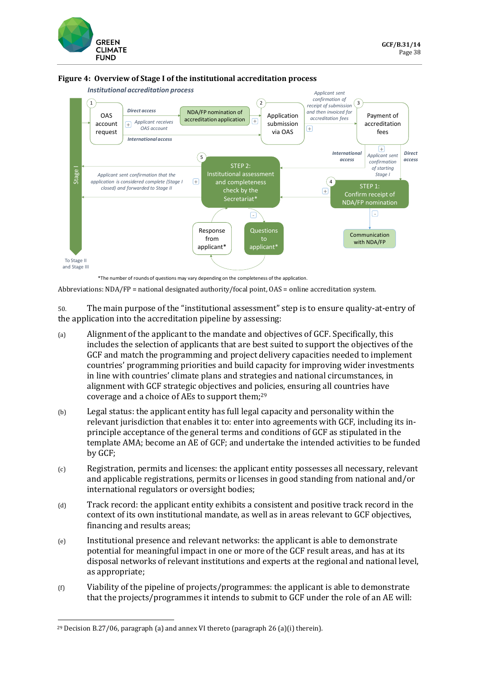



#### **Figure 4: Overview of Stage I of the institutional accreditation process**

\*The number of rounds of questions may vary depending on the completeness of the application.

Abbreviations: NDA/FP = national designated authority/focal point, OAS = online accreditation system.

50. The main purpose of the "institutional assessment" step is to ensure quality-at-entry of the application into the accreditation pipeline by assessing:

- (a) Alignment of the applicant to the mandate and objectives of GCF. Specifically, this includes the selection of applicants that are best suited to support the objectives of the GCF and match the programming and project delivery capacities needed to implement countries' programming priorities and build capacity for improving wider investments in line with countries' climate plans and strategies and national circumstances, in alignment with GCF strategic objectives and policies, ensuring all countries have coverage and a choice of AEs to support them;<sup>29</sup>
- (b) Legal status: the applicant entity has full legal capacity and personality within the relevant jurisdiction that enables it to: enter into agreements with GCF, including its inprinciple acceptance of the general terms and conditions of GCF as stipulated in the template AMA; become an AE of GCF; and undertake the intended activities to be funded by GCF;
- (c) Registration, permits and licenses: the applicant entity possesses all necessary, relevant and applicable registrations, permits or licenses in good standing from national and/or international regulators or oversight bodies;
- (d) Track record: the applicant entity exhibits a consistent and positive track record in the context of its own institutional mandate, as well as in areas relevant to GCF objectives, financing and results areas;
- (e) Institutional presence and relevant networks: the applicant is able to demonstrate potential for meaningful impact in one or more of the GCF result areas, and has at its disposal networks of relevant institutions and experts at the regional and national level, as appropriate;
- (f) Viability of the pipeline of projects/programmes: the applicant is able to demonstrate that the projects/programmes it intends to submit to GCF under the role of an AE will: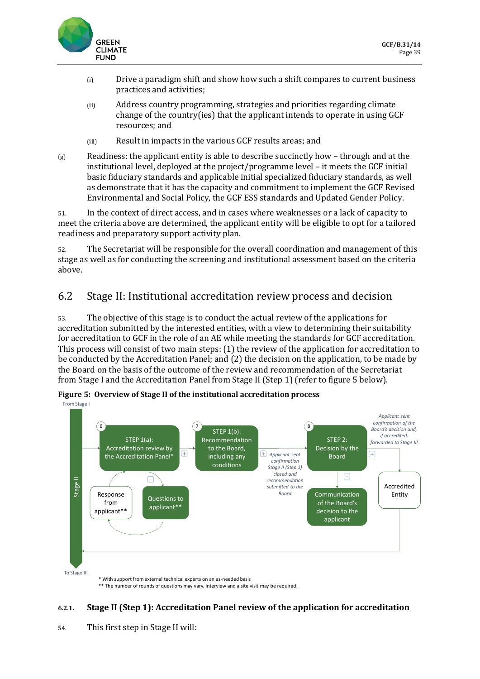

- (i) Drive a paradigm shift and show how such a shift compares to current business practices and activities;
- (ii) Address country programming, strategies and priorities regarding climate change of the country(ies) that the applicant intends to operate in using GCF resources; and
- (iii) Result in impacts in the various GCF results areas; and
- $(g)$  Readiness: the applicant entity is able to describe succinctly how through and at the institutional level, deployed at the project/programme level – it meets the GCF initial basic fiduciary standards and applicable initial specialized fiduciary standards, as well as demonstrate that it has the capacity and commitment to implement the GCF Revised Environmental and Social Policy, the GCF ESS standards and Updated Gender Policy.

51. In the context of direct access, and in cases where weaknesses or a lack of capacity to meet the criteria above are determined, the applicant entity will be eligible to opt for a tailored readiness and preparatory support activity plan.

52. The Secretariat will be responsible for the overall coordination and management of this stage as well as for conducting the screening and institutional assessment based on the criteria above.

### 6.2 Stage II: Institutional accreditation review process and decision

53. The objective of this stage is to conduct the actual review of the applications for accreditation submitted by the interested entities, with a view to determining their suitability for accreditation to GCF in the role of an AE while meeting the standards for GCF accreditation. This process will consist of two main steps: (1) the review of the application for accreditation to be conducted by the Accreditation Panel; and (2) the decision on the application, to be made by the Board on the basis of the outcome of the review and recommendation of the Secretariat from Stage I and the Accreditation Panel from Stage II (Step 1) (refer to figure 5 below).



**Figure 5: Overview of Stage II of the institutional accreditation process**

\* With support from external technical experts on an as-needed basis \*\* The number of rounds of questions may vary. Interview and a site visit may be required.

### **6.2.1. Stage II (Step 1): Accreditation Panel review of the application for accreditation**

54. This first step in Stage II will: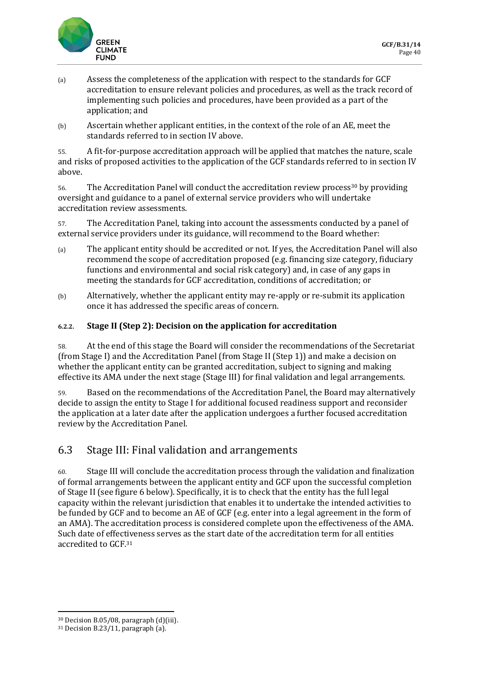

- (a) Assess the completeness of the application with respect to the standards for GCF accreditation to ensure relevant policies and procedures, as well as the track record of implementing such policies and procedures, have been provided as a part of the application; and
- (b) Ascertain whether applicant entities, in the context of the role of an AE, meet the standards referred to in section IV above.

55. A fit-for-purpose accreditation approach will be applied that matches the nature, scale and risks of proposed activities to the application of the GCF standards referred to in section IV above.

56. The Accreditation Panel will conduct the accreditation review process<sup>30</sup> by providing oversight and guidance to a panel of external service providers who will undertake accreditation review assessments.

57. The Accreditation Panel, taking into account the assessments conducted by a panel of external service providers under its guidance, will recommend to the Board whether:

- (a) The applicant entity should be accredited or not. If yes, the Accreditation Panel will also recommend the scope of accreditation proposed (e.g. financing size category, fiduciary functions and environmental and social risk category) and, in case of any gaps in meeting the standards for GCF accreditation, conditions of accreditation; or
- (b) Alternatively, whether the applicant entity may re-apply or re-submit its application once it has addressed the specific areas of concern.

#### **6.2.2. Stage II (Step 2): Decision on the application for accreditation**

58. At the end of this stage the Board will consider the recommendations of the Secretariat (from Stage I) and the Accreditation Panel (from Stage II (Step 1)) and make a decision on whether the applicant entity can be granted accreditation, subject to signing and making effective its AMA under the next stage (Stage III) for final validation and legal arrangements.

59. Based on the recommendations of the Accreditation Panel, the Board may alternatively decide to assign the entity to Stage I for additional focused readiness support and reconsider the application at a later date after the application undergoes a further focused accreditation review by the Accreditation Panel.

### 6.3 Stage III: Final validation and arrangements

60. Stage III will conclude the accreditation process through the validation and finalization of formal arrangements between the applicant entity and GCF upon the successful completion of Stage II (see figure 6 below). Specifically, it is to check that the entity has the full legal capacity within the relevant jurisdiction that enables it to undertake the intended activities to be funded by GCF and to become an AE of GCF (e.g. enter into a legal agreement in the form of an AMA). The accreditation process is considered complete upon the effectiveness of the AMA. Such date of effectiveness serves as the start date of the accreditation term for all entities accredited to GCF.<sup>31</sup>

<sup>30</sup> Decision B.05/08, paragraph (d)(iii).

<sup>31</sup> Decision B.23/11, paragraph (a).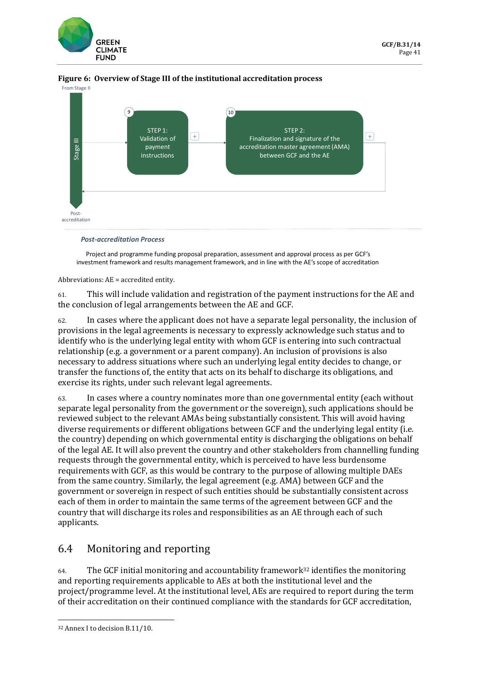



**Figure 6: Overview of Stage III of the institutional accreditation process**

*Post-accreditation Process*

Project and programme funding proposal preparation, assessment and approval process as per GCF's

Abbreviations: AE = accredited entity.

61. This will include validation and registration of the payment instructions for the AE and the conclusion of legal arrangements between the AE and GCF.

62. In cases where the applicant does not have a separate legal personality, the inclusion of provisions in the legal agreements is necessary to expressly acknowledge such status and to identify who is the underlying legal entity with whom GCF is entering into such contractual relationship (e.g. a government or a parent company). An inclusion of provisions is also necessary to address situations where such an underlying legal entity decides to change, or transfer the functions of, the entity that acts on its behalf to discharge its obligations, and exercise its rights, under such relevant legal agreements.

63. In cases where a country nominates more than one governmental entity (each without separate legal personality from the government or the sovereign), such applications should be reviewed subject to the relevant AMAs being substantially consistent. This will avoid having diverse requirements or different obligations between GCF and the underlying legal entity (i.e. the country) depending on which governmental entity is discharging the obligations on behalf of the legal AE. It will also prevent the country and other stakeholders from channelling funding requests through the governmental entity, which is perceived to have less burdensome requirements with GCF, as this would be contrary to the purpose of allowing multiple DAEs from the same country. Similarly, the legal agreement (e.g. AMA) between GCF and the government or sovereign in respect of such entities should be substantially consistent across each of them in order to maintain the same terms of the agreement between GCF and the country that will discharge its roles and responsibilities as an AE through each of such applicants.

## 6.4 Monitoring and reporting

 $64.$  The GCF initial monitoring and accountability framework<sup>32</sup> identifies the monitoring and reporting requirements applicable to AEs at both the institutional level and the project/programme level. At the institutional level, AEs are required to report during the term of their accreditation on their continued compliance with the standards for GCF accreditation,

<sup>32</sup> Annex I to decision B.11/10.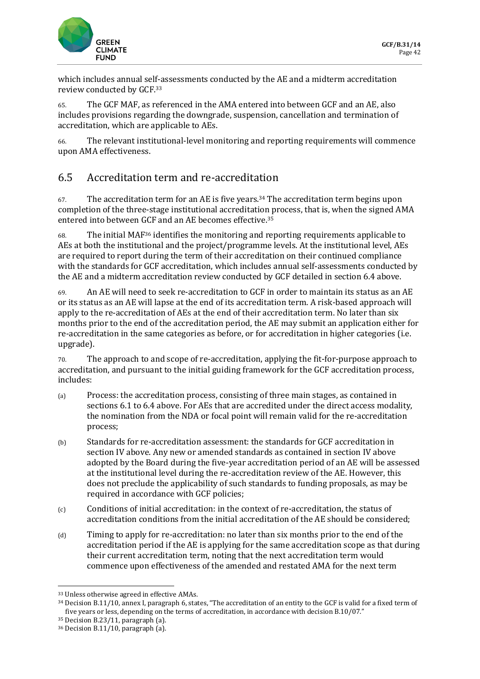

which includes annual self-assessments conducted by the AE and a midterm accreditation review conducted by GCF.<sup>33</sup>

65. The GCF MAF, as referenced in the AMA entered into between GCF and an AE, also includes provisions regarding the downgrade, suspension, cancellation and termination of accreditation, which are applicable to AEs.

66. The relevant institutional-level monitoring and reporting requirements will commence upon AMA effectiveness.

## 6.5 Accreditation term and re-accreditation

67. The accreditation term for an AE is five years.<sup>34</sup> The accreditation term begins upon completion of the three-stage institutional accreditation process, that is, when the signed AMA entered into between GCF and an AE becomes effective.<sup>35</sup>

68. The initial MAF<sup>36</sup> identifies the monitoring and reporting requirements applicable to AEs at both the institutional and the project/programme levels. At the institutional level, AEs are required to report during the term of their accreditation on their continued compliance with the standards for GCF accreditation, which includes annual self-assessments conducted by the AE and a midterm accreditation review conducted by GCF detailed in section 6.4 above.

69. An AE will need to seek re-accreditation to GCF in order to maintain its status as an AE or its status as an AE will lapse at the end of its accreditation term. A risk-based approach will apply to the re-accreditation of AEs at the end of their accreditation term. No later than six months prior to the end of the accreditation period, the AE may submit an application either for re-accreditation in the same categories as before, or for accreditation in higher categories (i.e. upgrade).

70. The approach to and scope of re-accreditation, applying the fit-for-purpose approach to accreditation, and pursuant to the initial guiding framework for the GCF accreditation process, includes:

- (a) Process: the accreditation process, consisting of three main stages, as contained in sections 6.1 to 6.4 above. For AEs that are accredited under the direct access modality, the nomination from the NDA or focal point will remain valid for the re-accreditation process;
- (b) Standards for re-accreditation assessment: the standards for GCF accreditation in section IV above. Any new or amended standards as contained in section IV above adopted by the Board during the five-year accreditation period of an AE will be assessed at the institutional level during the re-accreditation review of the AE. However, this does not preclude the applicability of such standards to funding proposals, as may be required in accordance with GCF policies;
- (c) Conditions of initial accreditation: in the context of re-accreditation, the status of accreditation conditions from the initial accreditation of the AE should be considered;
- (d) Timing to apply for re-accreditation: no later than six months prior to the end of the accreditation period if the AE is applying for the same accreditation scope as that during their current accreditation term, noting that the next accreditation term would commence upon effectiveness of the amended and restated AMA for the next term

<sup>33</sup> Unless otherwise agreed in effective AMAs.

<sup>34</sup> Decision B.11/10, annex I, paragraph 6, states, "The accreditation of an entity to the GCF is valid for a fixed term of five years or less, depending on the terms of accreditation, in accordance with decision B.10/07."

<sup>35</sup> Decision B.23/11, paragraph (a).

<sup>36</sup> Decision B.11/10, paragraph (a).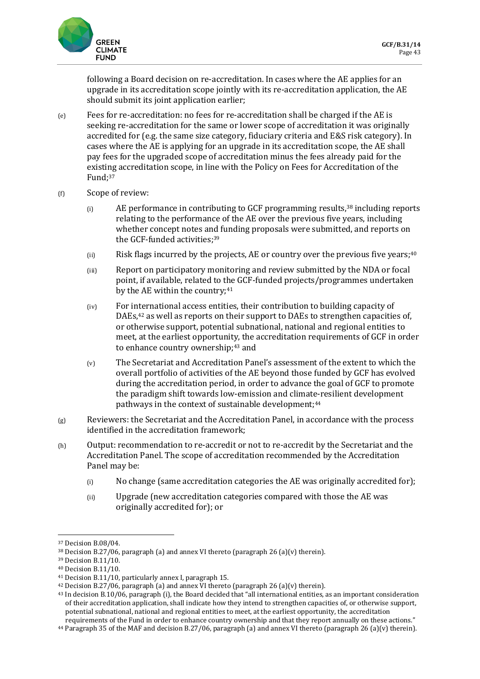

following a Board decision on re-accreditation. In cases where the AE applies for an upgrade in its accreditation scope jointly with its re-accreditation application, the AE should submit its joint application earlier;

- (e) Fees for re-accreditation: no fees for re-accreditation shall be charged if the AE is seeking re-accreditation for the same or lower scope of accreditation it was originally accredited for (e.g. the same size category, fiduciary criteria and E&S risk category). In cases where the AE is applying for an upgrade in its accreditation scope, the AE shall pay fees for the upgraded scope of accreditation minus the fees already paid for the existing accreditation scope, in line with the Policy on Fees for Accreditation of the Fund; 37
- (f) Scope of review:
	- $(i)$  AE performance in contributing to GCF programming results,<sup>38</sup> including reports relating to the performance of the AE over the previous five years, including whether concept notes and funding proposals were submitted, and reports on the GCF-funded activities; 39
	- $(iii)$  Risk flags incurred by the projects, AE or country over the previous five years;<sup>40</sup>
	- (iii) Report on participatory monitoring and review submitted by the NDA or focal point, if available, related to the GCF-funded projects/programmes undertaken by the AE within the country;<sup>41</sup>
	- (iv) For international access entities, their contribution to building capacity of DAEs,<sup>42</sup> as well as reports on their support to DAEs to strengthen capacities of, or otherwise support, potential subnational, national and regional entities to meet, at the earliest opportunity, the accreditation requirements of GCF in order to enhance country ownership;<sup>43</sup> and
	- (v) The Secretariat and Accreditation Panel's assessment of the extent to which the overall portfolio of activities of the AE beyond those funded by GCF has evolved during the accreditation period, in order to advance the goal of GCF to promote the paradigm shift towards low-emission and climate-resilient development pathways in the context of sustainable development;<sup>44</sup>
- (g) Reviewers: the Secretariat and the Accreditation Panel, in accordance with the process identified in the accreditation framework;
- (h) Output: recommendation to re-accredit or not to re-accredit by the Secretariat and the Accreditation Panel. The scope of accreditation recommended by the Accreditation Panel may be:
	- (i) No change (same accreditation categories the AE was originally accredited for);
	- (ii) Upgrade (new accreditation categories compared with those the AE was originally accredited for); or

<sup>37</sup> Decision B.08/04.

<sup>&</sup>lt;sup>38</sup> Decision B.27/06, paragraph (a) and annex VI thereto (paragraph 26 (a)(v) therein).

<sup>39</sup> Decision B.11/10.

<sup>40</sup> Decision B.11/10.

<sup>41</sup> Decision B.11/10, particularly annex I, paragraph 15.

<sup>&</sup>lt;sup>42</sup> Decision B.27/06, paragraph (a) and annex VI thereto (paragraph 26 (a)(v) therein).

<sup>43</sup> In decision B.10/06, paragraph (i), the Board decided that "all international entities, as an important consideration of their accreditation application, shall indicate how they intend to strengthen capacities of, or otherwise support, potential subnational, national and regional entities to meet, at the earliest opportunity, the accreditation requirements of the Fund in order to enhance country ownership and that they report annually on these actions."

 $44$  Paragraph 35 of the MAF and decision B.27/06, paragraph (a) and annex VI thereto (paragraph 26 (a)(v) therein).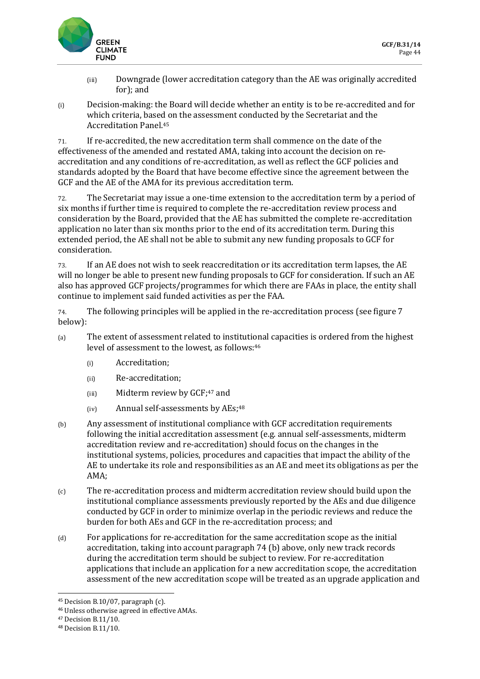

- (iii) Downgrade (lower accreditation category than the AE was originally accredited for); and
- (i) Decision-making: the Board will decide whether an entity is to be re-accredited and for which criteria, based on the assessment conducted by the Secretariat and the Accreditation Panel.<sup>45</sup>

71. If re-accredited, the new accreditation term shall commence on the date of the effectiveness of the amended and restated AMA, taking into account the decision on reaccreditation and any conditions of re-accreditation, as well as reflect the GCF policies and standards adopted by the Board that have become effective since the agreement between the GCF and the AE of the AMA for its previous accreditation term.

72. The Secretariat may issue a one-time extension to the accreditation term by a period of six months if further time is required to complete the re-accreditation review process and consideration by the Board, provided that the AE has submitted the complete re-accreditation application no later than six months prior to the end of its accreditation term. During this extended period, the AE shall not be able to submit any new funding proposals to GCF for consideration.

73. If an AE does not wish to seek reaccreditation or its accreditation term lapses, the AE will no longer be able to present new funding proposals to GCF for consideration. If such an AE also has approved GCF projects/programmes for which there are FAAs in place, the entity shall continue to implement said funded activities as per the FAA.

74. The following principles will be applied in the re-accreditation process (see figure 7 below):

- (a) The extent of assessment related to institutional capacities is ordered from the highest level of assessment to the lowest, as follows: 46
	- (i) Accreditation;
	- (ii) Re-accreditation;
	- (iii) Midterm review by GCF;<sup>47</sup> and
	- (iv) Annual self-assessments by AEs;<sup>48</sup>
- (b) Any assessment of institutional compliance with GCF accreditation requirements following the initial accreditation assessment (e.g. annual self-assessments, midterm accreditation review and re-accreditation) should focus on the changes in the institutional systems, policies, procedures and capacities that impact the ability of the AE to undertake its role and responsibilities as an AE and meet its obligations as per the AMA;
- (c) The re-accreditation process and midterm accreditation review should build upon the institutional compliance assessments previously reported by the AEs and due diligence conducted by GCF in order to minimize overlap in the periodic reviews and reduce the burden for both AEs and GCF in the re-accreditation process; and
- (d) For applications for re-accreditation for the same accreditation scope as the initial accreditation, taking into account paragraph 74 (b) above, only new track records during the accreditation term should be subject to review. For re-accreditation applications that include an application for a new accreditation scope, the accreditation assessment of the new accreditation scope will be treated as an upgrade application and

 $45$  Decision B.10/07, paragraph (c).

<sup>46</sup> Unless otherwise agreed in effective AMAs.

<sup>47</sup> Decision B.11/10.

<sup>48</sup> Decision B.11/10.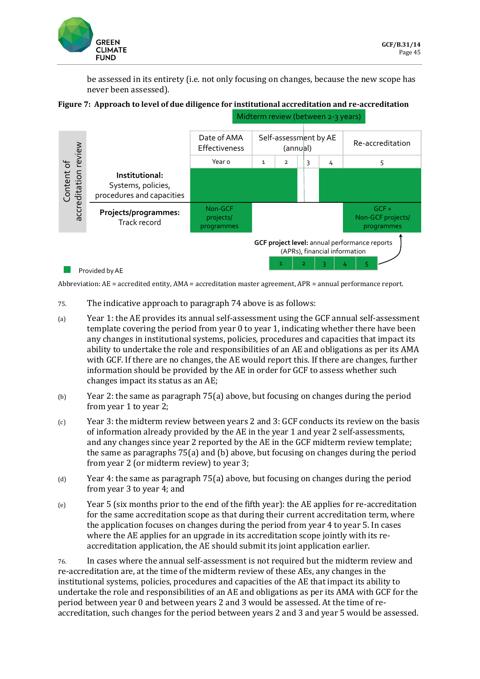

be assessed in its entirety (i.e. not only focusing on changes, because the new scope has never been assessed).





Abbreviation: AE = accredited entity, AMA = accreditation master agreement, APR = annual performance report.

- 75. The indicative approach to paragraph 74 above is as follows:
- (a) Year 1: the AE provides its annual self-assessment using the GCF annual self-assessment template covering the period from year 0 to year 1, indicating whether there have been any changes in institutional systems, policies, procedures and capacities that impact its ability to undertake the role and responsibilities of an AE and obligations as per its AMA with GCF. If there are no changes, the AE would report this. If there are changes, further information should be provided by the AE in order for GCF to assess whether such changes impact its status as an AE;
- (b) Year 2: the same as paragraph 75(a) above, but focusing on changes during the period from year 1 to year 2;
- (c) Year 3: the midterm review between years 2 and 3: GCF conducts its review on the basis of information already provided by the AE in the year 1 and year 2 self-assessments, and any changes since year 2 reported by the AE in the GCF midterm review template; the same as paragraphs 75(a) and (b) above, but focusing on changes during the period from year 2 (or midterm review) to year 3;
- (d) Year 4: the same as paragraph 75(a) above, but focusing on changes during the period from year 3 to year 4; and
- (e) Year 5 (six months prior to the end of the fifth year): the AE applies for re-accreditation for the same accreditation scope as that during their current accreditation term, where the application focuses on changes during the period from year 4 to year 5. In cases where the AE applies for an upgrade in its accreditation scope jointly with its reaccreditation application, the AE should submit its joint application earlier.

76. In cases where the annual self-assessment is not required but the midterm review and re-accreditation are, at the time of the midterm review of these AEs, any changes in the institutional systems, policies, procedures and capacities of the AE that impact its ability to undertake the role and responsibilities of an AE and obligations as per its AMA with GCF for the period between year 0 and between years 2 and 3 would be assessed. At the time of reaccreditation, such changes for the period between years 2 and 3 and year 5 would be assessed.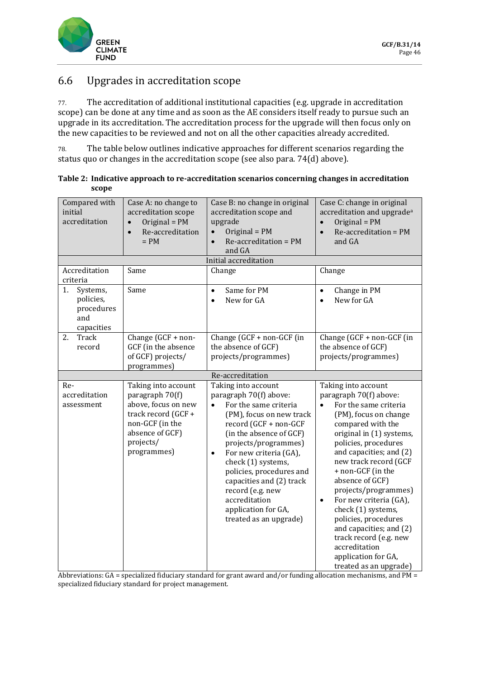

### 6.6 Upgrades in accreditation scope

77. The accreditation of additional institutional capacities (e.g. upgrade in accreditation scope) can be done at any time and as soon as the AE considers itself ready to pursue such an upgrade in its accreditation. The accreditation process for the upgrade will then focus only on the new capacities to be reviewed and not on all the other capacities already accredited.

78. The table below outlines indicative approaches for different scenarios regarding the status quo or changes in the accreditation scope (see also para. 74(d) above).

| Table 2: Indicative approach to re-accreditation scenarios concerning changes in accreditation |
|------------------------------------------------------------------------------------------------|
| scope                                                                                          |

| Compared with<br>initial<br>accreditation                      | Case A: no change to<br>accreditation scope<br>Original = $PM$<br>Re-accreditation<br>$= PM$                                                           | Case B: no change in original<br>accreditation scope and<br>upgrade<br>Original = $PM$<br>Re-accreditation = PM<br>and GA                                                                                                                                                                                                                                                                              | Case C: change in original<br>accreditation and upgrade <sup>a</sup><br>Original = PM<br>$\bullet$<br>Re-accreditation = PM<br>$\bullet$<br>and GA                                                                                                                                                                                                                                                                                                                                                                    |
|----------------------------------------------------------------|--------------------------------------------------------------------------------------------------------------------------------------------------------|--------------------------------------------------------------------------------------------------------------------------------------------------------------------------------------------------------------------------------------------------------------------------------------------------------------------------------------------------------------------------------------------------------|-----------------------------------------------------------------------------------------------------------------------------------------------------------------------------------------------------------------------------------------------------------------------------------------------------------------------------------------------------------------------------------------------------------------------------------------------------------------------------------------------------------------------|
|                                                                |                                                                                                                                                        | Initial accreditation                                                                                                                                                                                                                                                                                                                                                                                  |                                                                                                                                                                                                                                                                                                                                                                                                                                                                                                                       |
| Accreditation<br>criteria                                      | Same                                                                                                                                                   | Change                                                                                                                                                                                                                                                                                                                                                                                                 | Change                                                                                                                                                                                                                                                                                                                                                                                                                                                                                                                |
| 1.<br>Systems,<br>policies,<br>procedures<br>and<br>capacities | Same                                                                                                                                                   | Same for PM<br>$\bullet$<br>New for GA<br>$\bullet$                                                                                                                                                                                                                                                                                                                                                    | Change in PM<br>$\bullet$<br>New for GA<br>$\bullet$                                                                                                                                                                                                                                                                                                                                                                                                                                                                  |
| Track<br>2.<br>record                                          | Change (GCF + non-<br>GCF (in the absence<br>of GCF) projects/<br>programmes)                                                                          | Change (GCF + non-GCF (in<br>the absence of GCF)<br>projects/programmes)                                                                                                                                                                                                                                                                                                                               | Change (GCF + non-GCF (in<br>the absence of GCF)<br>projects/programmes)                                                                                                                                                                                                                                                                                                                                                                                                                                              |
|                                                                |                                                                                                                                                        | Re-accreditation                                                                                                                                                                                                                                                                                                                                                                                       |                                                                                                                                                                                                                                                                                                                                                                                                                                                                                                                       |
| Re-<br>accreditation<br>assessment                             | Taking into account<br>paragraph 70(f)<br>above, focus on new<br>track record (GCF +<br>non-GCF (in the<br>absence of GCF)<br>projects/<br>programmes) | Taking into account<br>paragraph 70(f) above:<br>For the same criteria<br>$\bullet$<br>(PM), focus on new track<br>record (GCF + non-GCF<br>(in the absence of GCF)<br>projects/programmes)<br>For new criteria (GA),<br>$\bullet$<br>check (1) systems,<br>policies, procedures and<br>capacities and (2) track<br>record (e.g. new<br>accreditation<br>application for GA,<br>treated as an upgrade) | Taking into account<br>paragraph 70(f) above:<br>For the same criteria<br>$\bullet$<br>(PM), focus on change<br>compared with the<br>original in (1) systems,<br>policies, procedures<br>and capacities; and (2)<br>new track record (GCF<br>+ non-GCF (in the<br>absence of GCF)<br>projects/programmes)<br>For new criteria (GA),<br>$\bullet$<br>check (1) systems,<br>policies, procedures<br>and capacities; and (2)<br>track record (e.g. new<br>accreditation<br>application for GA,<br>treated as an upgrade) |

Abbreviations: GA = specialized fiduciary standard for grant award and/or funding allocation mechanisms, and PM = specialized fiduciary standard for project management.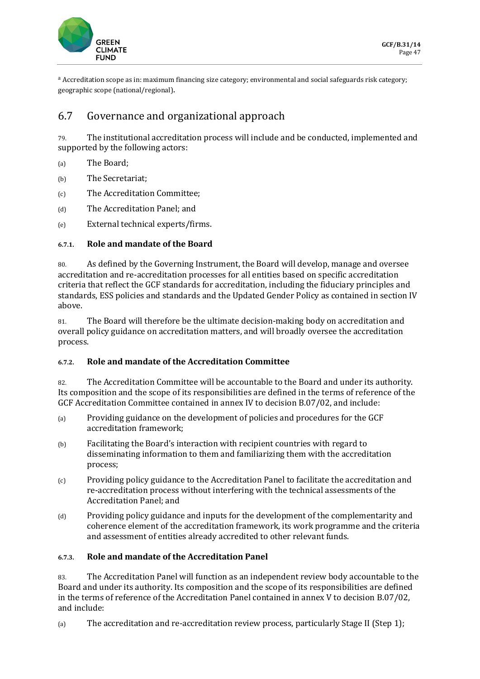

a Accreditation scope as in: maximum financing size category; environmental and social safeguards risk category; geographic scope (national/regional).

### 6.7 Governance and organizational approach

79. The institutional accreditation process will include and be conducted, implemented and supported by the following actors:

- (a) The Board;
- (b) The Secretariat;
- (c) The Accreditation Committee;
- (d) The Accreditation Panel; and
- (e) External technical experts/firms.

#### **6.7.1. Role and mandate of the Board**

80. As defined by the Governing Instrument, the Board will develop, manage and oversee accreditation and re-accreditation processes for all entities based on specific accreditation criteria that reflect the GCF standards for accreditation, including the fiduciary principles and standards, ESS policies and standards and the Updated Gender Policy as contained in section IV above.

81. The Board will therefore be the ultimate decision-making body on accreditation and overall policy guidance on accreditation matters, and will broadly oversee the accreditation process.

#### **6.7.2. Role and mandate of the Accreditation Committee**

82. The Accreditation Committee will be accountable to the Board and under its authority. Its composition and the scope of its responsibilities are defined in the terms of reference of the GCF Accreditation Committee contained in annex IV to decision B.07/02, and include:

- (a) Providing guidance on the development of policies and procedures for the GCF accreditation framework;
- (b) Facilitating the Board's interaction with recipient countries with regard to disseminating information to them and familiarizing them with the accreditation process;
- (c) Providing policy guidance to the Accreditation Panel to facilitate the accreditation and re-accreditation process without interfering with the technical assessments of the Accreditation Panel; and
- (d) Providing policy guidance and inputs for the development of the complementarity and coherence element of the accreditation framework, its work programme and the criteria and assessment of entities already accredited to other relevant funds.

#### **6.7.3. Role and mandate of the Accreditation Panel**

83. The Accreditation Panel will function as an independent review body accountable to the Board and under its authority. Its composition and the scope of its responsibilities are defined in the terms of reference of the Accreditation Panel contained in annex V to decision B.07/02, and include:

(a) The accreditation and re-accreditation review process, particularly Stage II (Step 1);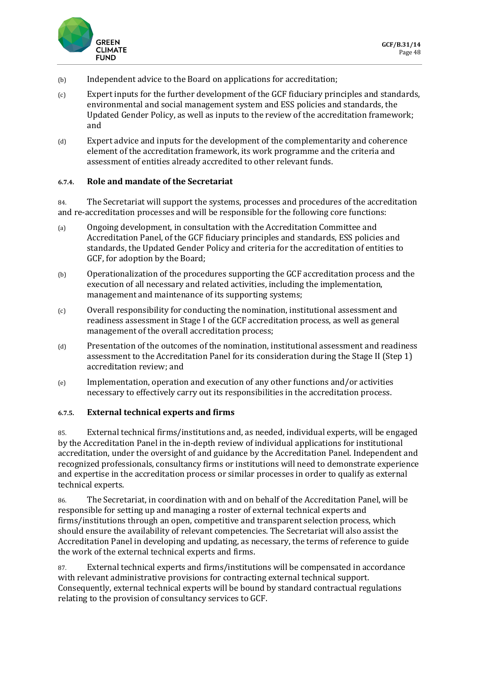

- (b) Independent advice to the Board on applications for accreditation;
- $(c)$  Expert inputs for the further development of the GCF fiduciary principles and standards, environmental and social management system and ESS policies and standards, the Updated Gender Policy, as well as inputs to the review of the accreditation framework; and
- (d) Expert advice and inputs for the development of the complementarity and coherence element of the accreditation framework, its work programme and the criteria and assessment of entities already accredited to other relevant funds.

#### **6.7.4. Role and mandate of the Secretariat**

84. The Secretariat will support the systems, processes and procedures of the accreditation and re-accreditation processes and will be responsible for the following core functions:

- (a) Ongoing development, in consultation with the Accreditation Committee and Accreditation Panel, of the GCF fiduciary principles and standards, ESS policies and standards, the Updated Gender Policy and criteria for the accreditation of entities to GCF, for adoption by the Board;
- (b) Operationalization of the procedures supporting the GCF accreditation process and the execution of all necessary and related activities, including the implementation, management and maintenance of its supporting systems;
- (c) Overall responsibility for conducting the nomination, institutional assessment and readiness assessment in Stage I of the GCF accreditation process, as well as general management of the overall accreditation process;
- (d) Presentation of the outcomes of the nomination, institutional assessment and readiness assessment to the Accreditation Panel for its consideration during the Stage II (Step 1) accreditation review; and
- (e) Implementation, operation and execution of any other functions and/or activities necessary to effectively carry out its responsibilities in the accreditation process.

#### **6.7.5. External technical experts and firms**

85. External technical firms/institutions and, as needed, individual experts, will be engaged by the Accreditation Panel in the in-depth review of individual applications for institutional accreditation, under the oversight of and guidance by the Accreditation Panel. Independent and recognized professionals, consultancy firms or institutions will need to demonstrate experience and expertise in the accreditation process or similar processes in order to qualify as external technical experts.

86. The Secretariat, in coordination with and on behalf of the Accreditation Panel, will be responsible for setting up and managing a roster of external technical experts and firms/institutions through an open, competitive and transparent selection process, which should ensure the availability of relevant competencies. The Secretariat will also assist the Accreditation Panel in developing and updating, as necessary, the terms of reference to guide the work of the external technical experts and firms.

87. External technical experts and firms/institutions will be compensated in accordance with relevant administrative provisions for contracting external technical support. Consequently, external technical experts will be bound by standard contractual regulations relating to the provision of consultancy services to GCF.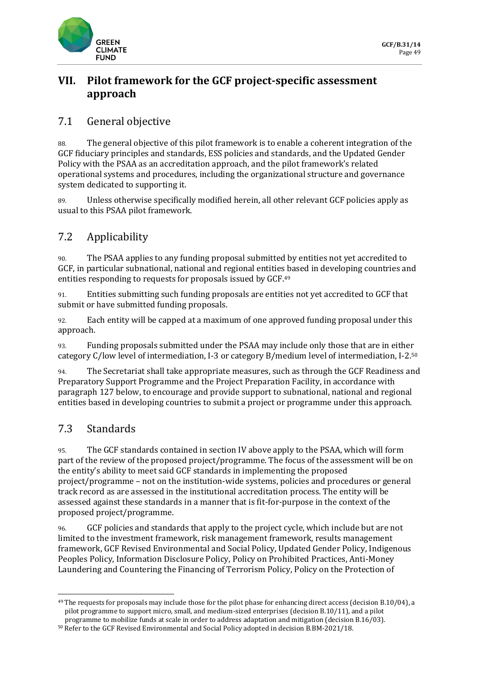

## **VII. Pilot framework for the GCF project-specific assessment approach**

### 7.1 General objective

88. The general objective of this pilot framework is to enable a coherent integration of the GCF fiduciary principles and standards, ESS policies and standards, and the Updated Gender Policy with the PSAA as an accreditation approach, and the pilot framework's related operational systems and procedures, including the organizational structure and governance system dedicated to supporting it.

89. Unless otherwise specifically modified herein, all other relevant GCF policies apply as usual to this PSAA pilot framework.

## 7.2 Applicability

90. The PSAA applies to any funding proposal submitted by entities not yet accredited to GCF, in particular subnational, national and regional entities based in developing countries and entities responding to requests for proposals issued by GCF.<sup>49</sup>

91. Entities submitting such funding proposals are entities not yet accredited to GCF that submit or have submitted funding proposals.

92. Each entity will be capped at a maximum of one approved funding proposal under this approach.

93. Funding proposals submitted under the PSAA may include only those that are in either category C/low level of intermediation, I-3 or category B/medium level of intermediation, I-2.50

94. The Secretariat shall take appropriate measures, such as through the GCF Readiness and Preparatory Support Programme and the Project Preparation Facility, in accordance with paragraph 127 below, to encourage and provide support to subnational, national and regional entities based in developing countries to submit a project or programme under this approach.

## 7.3 Standards

95. The GCF standards contained in section IV above apply to the PSAA, which will form part of the review of the proposed project/programme. The focus of the assessment will be on the entity's ability to meet said GCF standards in implementing the proposed project/programme – not on the institution-wide systems, policies and procedures or general track record as are assessed in the institutional accreditation process. The entity will be assessed against these standards in a manner that is fit-for-purpose in the context of the proposed project/programme.

96. GCF policies and standards that apply to the project cycle, which include but are not limited to the investment framework, risk management framework, results management framework, GCF Revised Environmental and Social Policy, Updated Gender Policy, Indigenous Peoples Policy, Information Disclosure Policy, Policy on Prohibited Practices, Anti-Money Laundering and Countering the Financing of Terrorism Policy, Policy on the Protection of

<sup>49</sup> The requests for proposals may include those for the pilot phase for enhancing direct access (decision B.10/04), a pilot programme to support micro, small, and medium-sized enterprises (decision B.10/11), and a pilot programme to mobilize funds at scale in order to address adaptation and mitigation (decision B.16/03).

<sup>50</sup> Refer to the GCF Revised Environmental and Social Policy adopted in decision B.BM-2021/18.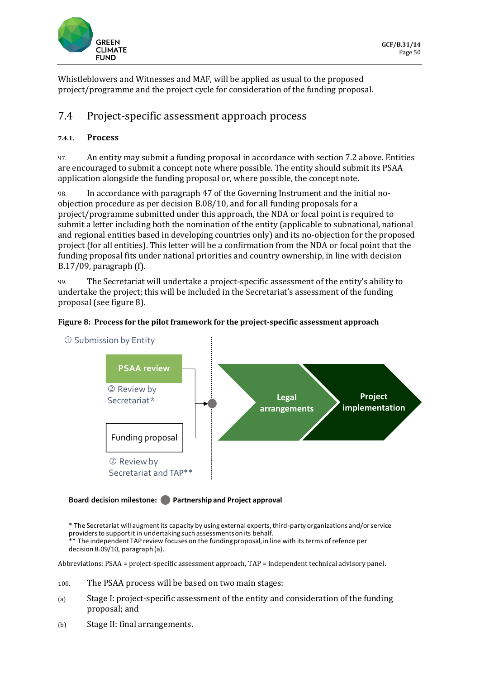

Whistleblowers and Witnesses and MAF, will be applied as usual to the proposed project/programme and the project cycle for consideration of the funding proposal.

### 7.4 Project-specific assessment approach process

#### **7.4.1. Process**

97. An entity may submit a funding proposal in accordance with section 7.2 above. Entities are encouraged to submit a concept note where possible. The entity should submit its PSAA application alongside the funding proposal or, where possible, the concept note.

98. In accordance with paragraph 47 of the Governing Instrument and the initial noobjection procedure as per decision B.08/10, and for all funding proposals for a project/programme submitted under this approach, the NDA or focal point is required to submit a letter including both the nomination of the entity (applicable to subnational, national and regional entities based in developing countries only) and its no-objection for the proposed project (for all entities). This letter will be a confirmation from the NDA or focal point that the funding proposal fits under national priorities and country ownership, in line with decision B.17/09, paragraph (f).

99. The Secretariat will undertake a project-specific assessment of the entity's ability to undertake the project; this will be included in the Secretariat's assessment of the funding proposal (see figure 8).

#### **Figure 8: Process for the pilot framework for the project-specific assessment approach**



**Board decision milestone: Partnership and Project approval**

\* The Secretariat will augment its capacity by using external experts, third-party organizations and/or service providers to support it in undertaking such assessments on its behalf. \*\* The independent TAP review focuses on the funding proposal, in line with its terms of refence per decision B.09/10, paragraph (a).

Abbreviations: PSAA = project-specific assessment approach, TAP = independent technical advisory panel.

- 100. The PSAA process will be based on two main stages:
- (a) Stage I: project-specific assessment of the entity and consideration of the funding proposal; and
- (b) Stage II: final arrangements.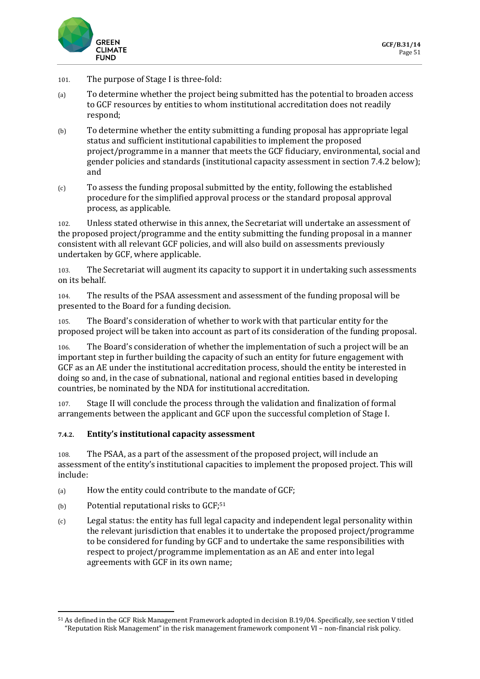

- 101. The purpose of Stage I is three-fold:
- (a) To determine whether the project being submitted has the potential to broaden access to GCF resources by entities to whom institutional accreditation does not readily respond;
- (b) To determine whether the entity submitting a funding proposal has appropriate legal status and sufficient institutional capabilities to implement the proposed project/programme in a manner that meets the GCF fiduciary, environmental, social and gender policies and standards (institutional capacity assessment in section 7.4.2 below); and
- (c) To assess the funding proposal submitted by the entity, following the established procedure for the simplified approval process or the standard proposal approval process, as applicable.

102. Unless stated otherwise in this annex, the Secretariat will undertake an assessment of the proposed project/programme and the entity submitting the funding proposal in a manner consistent with all relevant GCF policies, and will also build on assessments previously undertaken by GCF, where applicable.

103. The Secretariat will augment its capacity to support it in undertaking such assessments on its behalf.

104. The results of the PSAA assessment and assessment of the funding proposal will be presented to the Board for a funding decision.

The Board's consideration of whether to work with that particular entity for the proposed project will be taken into account as part of its consideration of the funding proposal.

106. The Board's consideration of whether the implementation of such a project will be an important step in further building the capacity of such an entity for future engagement with GCF as an AE under the institutional accreditation process, should the entity be interested in doing so and, in the case of subnational, national and regional entities based in developing countries, be nominated by the NDA for institutional accreditation.

107. Stage II will conclude the process through the validation and finalization of formal arrangements between the applicant and GCF upon the successful completion of Stage I.

#### **7.4.2. Entity's institutional capacity assessment**

108. The PSAA, as a part of the assessment of the proposed project, will include an assessment of the entity's institutional capacities to implement the proposed project. This will include:

- (a) How the entity could contribute to the mandate of GCF;
- (b) Potential reputational risks to GCF;<sup>51</sup>
- (c) Legal status: the entity has full legal capacity and independent legal personality within the relevant jurisdiction that enables it to undertake the proposed project/programme to be considered for funding by GCF and to undertake the same responsibilities with respect to project/programme implementation as an AE and enter into legal agreements with GCF in its own name;

<sup>51</sup> As defined in the GCF Risk Management Framework adopted in decision B.19/04. Specifically, see section V titled "Reputation Risk Management" in the risk management framework component VI – non-financial risk policy.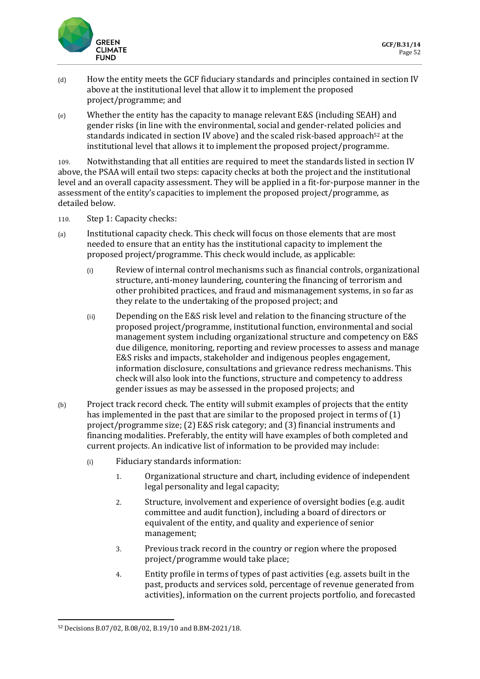

- (d) How the entity meets the GCF fiduciary standards and principles contained in section IV above at the institutional level that allow it to implement the proposed project/programme; and
- (e) Whether the entity has the capacity to manage relevant E&S (including SEAH) and gender risks (in line with the environmental, social and gender-related policies and standards indicated in section IV above) and the scaled risk-based approach<sup>52</sup> at the institutional level that allows it to implement the proposed project/programme.

109. Notwithstanding that all entities are required to meet the standards listed in section IV above, the PSAA will entail two steps: capacity checks at both the project and the institutional level and an overall capacity assessment. They will be applied in a fit-for-purpose manner in the assessment of the entity's capacities to implement the proposed project/programme, as detailed below.

- 110. Step 1: Capacity checks:
- (a) Institutional capacity check. This check will focus on those elements that are most needed to ensure that an entity has the institutional capacity to implement the proposed project/programme. This check would include, as applicable:
	- (i) Review of internal control mechanisms such as financial controls, organizational structure, anti-money laundering, countering the financing of terrorism and other prohibited practices, and fraud and mismanagement systems, in so far as they relate to the undertaking of the proposed project; and
	- (ii) Depending on the E&S risk level and relation to the financing structure of the proposed project/programme, institutional function, environmental and social management system including organizational structure and competency on E&S due diligence, monitoring, reporting and review processes to assess and manage E&S risks and impacts, stakeholder and indigenous peoples engagement, information disclosure, consultations and grievance redress mechanisms. This check will also look into the functions, structure and competency to address gender issues as may be assessed in the proposed projects; and
- (b) Project track record check. The entity will submit examples of projects that the entity has implemented in the past that are similar to the proposed project in terms of (1) project/programme size; (2) E&S risk category; and (3) financial instruments and financing modalities. Preferably, the entity will have examples of both completed and current projects. An indicative list of information to be provided may include:
	- (i) Fiduciary standards information:
		- 1. Organizational structure and chart, including evidence of independent legal personality and legal capacity;
		- 2. Structure, involvement and experience of oversight bodies (e.g. audit committee and audit function), including a board of directors or equivalent of the entity, and quality and experience of senior management;
		- 3. Previous track record in the country or region where the proposed project/programme would take place;
		- 4. Entity profile in terms of types of past activities (e.g. assets built in the past, products and services sold, percentage of revenue generated from activities), information on the current projects portfolio, and forecasted

<sup>52</sup> Decisions B.07/02, B.08/02, B.19/10 and B.BM-2021/18.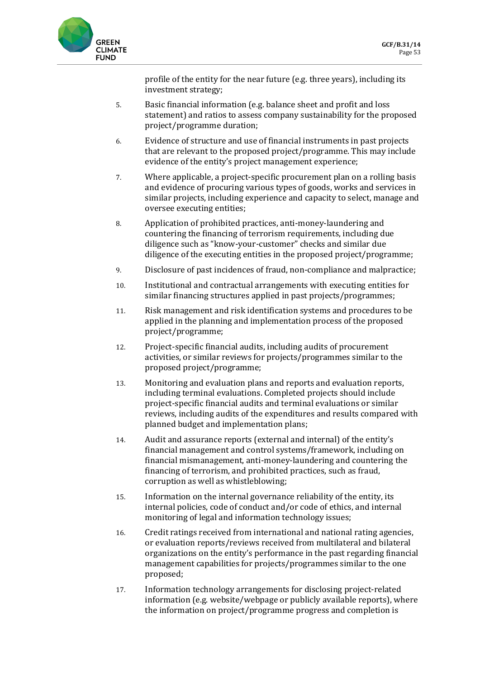

profile of the entity for the near future (e.g. three years), including its investment strategy;

- 5. Basic financial information (e.g. balance sheet and profit and loss statement) and ratios to assess company sustainability for the proposed project/programme duration;
- 6. Evidence of structure and use of financial instruments in past projects that are relevant to the proposed project/programme. This may include evidence of the entity's project management experience;
- 7. Where applicable, a project-specific procurement plan on a rolling basis and evidence of procuring various types of goods, works and services in similar projects, including experience and capacity to select, manage and oversee executing entities;
- 8. Application of prohibited practices, anti-money-laundering and countering the financing of terrorism requirements, including due diligence such as "know-your-customer" checks and similar due diligence of the executing entities in the proposed project/programme;
- 9. Disclosure of past incidences of fraud, non-compliance and malpractice;
- 10. Institutional and contractual arrangements with executing entities for similar financing structures applied in past projects/programmes;
- 11. Risk management and risk identification systems and procedures to be applied in the planning and implementation process of the proposed project/programme;
- 12. Project-specific financial audits, including audits of procurement activities, or similar reviews for projects/programmes similar to the proposed project/programme;
- 13. Monitoring and evaluation plans and reports and evaluation reports, including terminal evaluations. Completed projects should include project-specific financial audits and terminal evaluations or similar reviews, including audits of the expenditures and results compared with planned budget and implementation plans;
- 14. Audit and assurance reports (external and internal) of the entity's financial management and control systems/framework, including on financial mismanagement, anti-money-laundering and countering the financing of terrorism, and prohibited practices, such as fraud, corruption as well as whistleblowing;
- 15. Information on the internal governance reliability of the entity, its internal policies, code of conduct and/or code of ethics, and internal monitoring of legal and information technology issues;
- 16. Credit ratings received from international and national rating agencies, or evaluation reports/reviews received from multilateral and bilateral organizations on the entity's performance in the past regarding financial management capabilities for projects/programmes similar to the one proposed;
- 17. Information technology arrangements for disclosing project-related information (e.g. website/webpage or publicly available reports), where the information on project/programme progress and completion is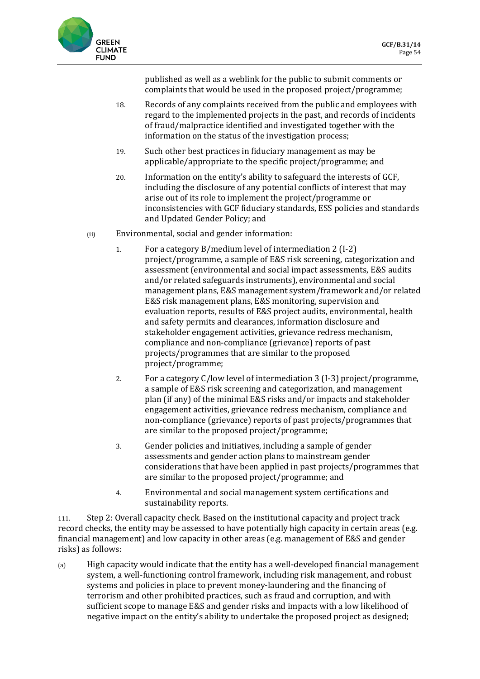

published as well as a weblink for the public to submit comments or complaints that would be used in the proposed project/programme;

- 18. Records of any complaints received from the public and employees with regard to the implemented projects in the past, and records of incidents of fraud/malpractice identified and investigated together with the information on the status of the investigation process;
- 19. Such other best practices in fiduciary management as may be applicable/appropriate to the specific project/programme; and
- 20. Information on the entity's ability to safeguard the interests of GCF, including the disclosure of any potential conflicts of interest that may arise out of its role to implement the project/programme or inconsistencies with GCF fiduciary standards, ESS policies and standards and Updated Gender Policy; and
- (ii) Environmental, social and gender information:
	- 1. For a category B/medium level of intermediation 2 (I-2) project/programme, a sample of E&S risk screening, categorization and assessment (environmental and social impact assessments, E&S audits and/or related safeguards instruments), environmental and social management plans, E&S management system/framework and/or related E&S risk management plans, E&S monitoring, supervision and evaluation reports, results of E&S project audits, environmental, health and safety permits and clearances, information disclosure and stakeholder engagement activities, grievance redress mechanism, compliance and non-compliance (grievance) reports of past projects/programmes that are similar to the proposed project/programme;
	- 2. For a category C/low level of intermediation 3 (I-3) project/programme, a sample of E&S risk screening and categorization, and management plan (if any) of the minimal E&S risks and/or impacts and stakeholder engagement activities, grievance redress mechanism, compliance and non-compliance (grievance) reports of past projects/programmes that are similar to the proposed project/programme;
	- 3. Gender policies and initiatives, including a sample of gender assessments and gender action plans to mainstream gender considerations that have been applied in past projects/programmes that are similar to the proposed project/programme; and
	- 4. Environmental and social management system certifications and sustainability reports.

111. Step 2: Overall capacity check. Based on the institutional capacity and project track record checks, the entity may be assessed to have potentially high capacity in certain areas (e.g. financial management) and low capacity in other areas (e.g. management of E&S and gender risks) as follows:

(a) High capacity would indicate that the entity has a well-developed financial management system, a well-functioning control framework, including risk management, and robust systems and policies in place to prevent money-laundering and the financing of terrorism and other prohibited practices, such as fraud and corruption, and with sufficient scope to manage E&S and gender risks and impacts with a low likelihood of negative impact on the entity's ability to undertake the proposed project as designed;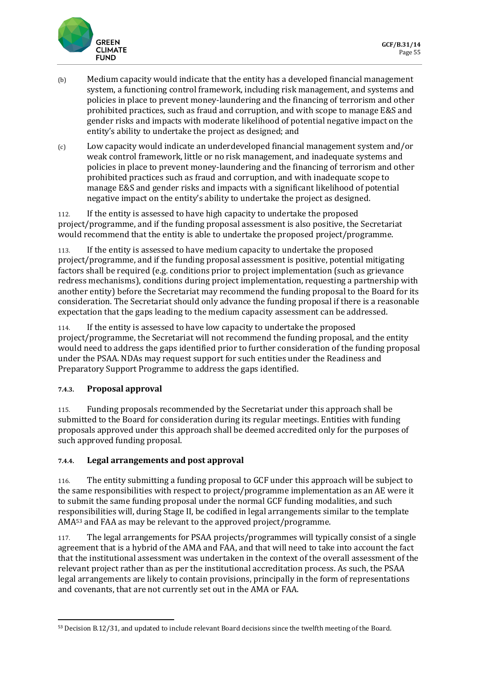

- (b) Medium capacity would indicate that the entity has a developed financial management system, a functioning control framework, including risk management, and systems and policies in place to prevent money-laundering and the financing of terrorism and other prohibited practices, such as fraud and corruption, and with scope to manage E&S and gender risks and impacts with moderate likelihood of potential negative impact on the entity's ability to undertake the project as designed; and
- (c) Low capacity would indicate an underdeveloped financial management system and/or weak control framework, little or no risk management, and inadequate systems and policies in place to prevent money-laundering and the financing of terrorism and other prohibited practices such as fraud and corruption, and with inadequate scope to manage E&S and gender risks and impacts with a significant likelihood of potential negative impact on the entity's ability to undertake the project as designed.

112. If the entity is assessed to have high capacity to undertake the proposed project/programme, and if the funding proposal assessment is also positive, the Secretariat would recommend that the entity is able to undertake the proposed project/programme.

113. If the entity is assessed to have medium capacity to undertake the proposed project/programme, and if the funding proposal assessment is positive, potential mitigating factors shall be required (e.g. conditions prior to project implementation (such as grievance redress mechanisms), conditions during project implementation, requesting a partnership with another entity) before the Secretariat may recommend the funding proposal to the Board for its consideration. The Secretariat should only advance the funding proposal if there is a reasonable expectation that the gaps leading to the medium capacity assessment can be addressed.

114. If the entity is assessed to have low capacity to undertake the proposed project/programme, the Secretariat will not recommend the funding proposal, and the entity would need to address the gaps identified prior to further consideration of the funding proposal under the PSAA. NDAs may request support for such entities under the Readiness and Preparatory Support Programme to address the gaps identified.

### **7.4.3. Proposal approval**

115. Funding proposals recommended by the Secretariat under this approach shall be submitted to the Board for consideration during its regular meetings. Entities with funding proposals approved under this approach shall be deemed accredited only for the purposes of such approved funding proposal.

#### **7.4.4. Legal arrangements and post approval**

116. The entity submitting a funding proposal to GCF under this approach will be subject to the same responsibilities with respect to project/programme implementation as an AE were it to submit the same funding proposal under the normal GCF funding modalities, and such responsibilities will, during Stage II, be codified in legal arrangements similar to the template AMA<sup>53</sup> and FAA as may be relevant to the approved project/programme.

117. The legal arrangements for PSAA projects/programmes will typically consist of a single agreement that is a hybrid of the AMA and FAA, and that will need to take into account the fact that the institutional assessment was undertaken in the context of the overall assessment of the relevant project rather than as per the institutional accreditation process. As such, the PSAA legal arrangements are likely to contain provisions, principally in the form of representations and covenants, that are not currently set out in the AMA or FAA.

<sup>53</sup> Decision B.12/31, and updated to include relevant Board decisions since the twelfth meeting of the Board.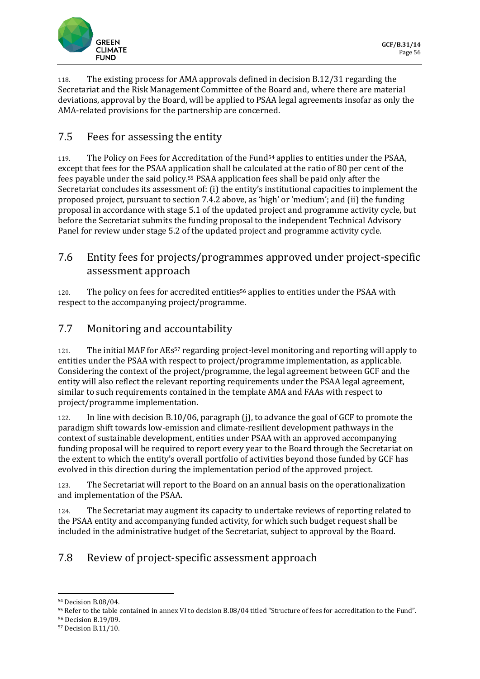

118. The existing process for AMA approvals defined in decision B.12/31 regarding the Secretariat and the Risk Management Committee of the Board and, where there are material deviations, approval by the Board, will be applied to PSAA legal agreements insofar as only the AMA-related provisions for the partnership are concerned.

# 7.5 Fees for assessing the entity

119. The Policy on Fees for Accreditation of the Fund<sup>54</sup> applies to entities under the PSAA, except that fees for the PSAA application shall be calculated at the ratio of 80 per cent of the fees payable under the said policy.<sup>55</sup> PSAA application fees shall be paid only after the Secretariat concludes its assessment of: (i) the entity's institutional capacities to implement the proposed project, pursuant to section 7.4.2 above, as 'high' or 'medium'; and (ii) the funding proposal in accordance with stage 5.1 of the updated project and programme activity cycle, but before the Secretariat submits the funding proposal to the independent Technical Advisory Panel for review under stage 5.2 of the updated project and programme activity cycle.

### 7.6 Entity fees for projects/programmes approved under project-specific assessment approach

120. The policy on fees for accredited entities<sup>56</sup> applies to entities under the PSAA with respect to the accompanying project/programme.

# 7.7 Monitoring and accountability

121. The initial MAF for AEs<sup>57</sup> regarding project-level monitoring and reporting will apply to entities under the PSAA with respect to project/programme implementation, as applicable. Considering the context of the project/programme, the legal agreement between GCF and the entity will also reflect the relevant reporting requirements under the PSAA legal agreement, similar to such requirements contained in the template AMA and FAAs with respect to project/programme implementation.

122. In line with decision B.10/06, paragraph (j), to advance the goal of GCF to promote the paradigm shift towards low-emission and climate-resilient development pathways in the context of sustainable development, entities under PSAA with an approved accompanying funding proposal will be required to report every year to the Board through the Secretariat on the extent to which the entity's overall portfolio of activities beyond those funded by GCF has evolved in this direction during the implementation period of the approved project.

123. The Secretariat will report to the Board on an annual basis on the operationalization and implementation of the PSAA.

124. The Secretariat may augment its capacity to undertake reviews of reporting related to the PSAA entity and accompanying funded activity, for which such budget request shall be included in the administrative budget of the Secretariat, subject to approval by the Board.

## 7.8 Review of project-specific assessment approach

<sup>54</sup> Decision B.08/04.

<sup>55</sup> Refer to the table contained in annex VI to decision B.08/04 titled "Structure of fees for accreditation to the Fund".

<sup>56</sup> Decision B.19/09.

<sup>57</sup> Decision B.11/10.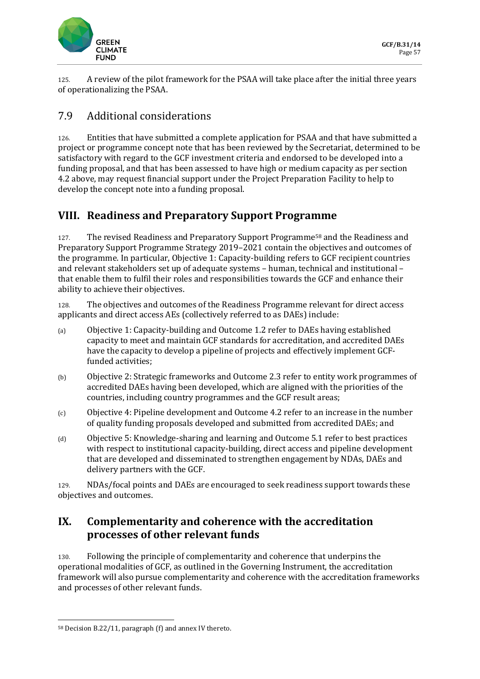

125. A review of the pilot framework for the PSAA will take place after the initial three years of operationalizing the PSAA.

### 7.9 Additional considerations

126. Entities that have submitted a complete application for PSAA and that have submitted a project or programme concept note that has been reviewed by the Secretariat, determined to be satisfactory with regard to the GCF investment criteria and endorsed to be developed into a funding proposal, and that has been assessed to have high or medium capacity as per section 4.2 above, may request financial support under the Project Preparation Facility to help to develop the concept note into a funding proposal.

## **VIII. Readiness and Preparatory Support Programme**

127. The revised Readiness and Preparatory Support Programme<sup>58</sup> and the Readiness and Preparatory Support Programme Strategy 2019–2021 contain the objectives and outcomes of the programme. In particular, Objective 1: Capacity-building refers to GCF recipient countries and relevant stakeholders set up of adequate systems – human, technical and institutional – that enable them to fulfil their roles and responsibilities towards the GCF and enhance their ability to achieve their objectives.

128. The objectives and outcomes of the Readiness Programme relevant for direct access applicants and direct access AEs (collectively referred to as DAEs) include:

- (a) Objective 1: Capacity-building and Outcome 1.2 refer to DAEs having established capacity to meet and maintain GCF standards for accreditation, and accredited DAEs have the capacity to develop a pipeline of projects and effectively implement GCFfunded activities;
- (b) Objective 2: Strategic frameworks and Outcome 2.3 refer to entity work programmes of accredited DAEs having been developed, which are aligned with the priorities of the countries, including country programmes and the GCF result areas;
- (c) Objective 4: Pipeline development and Outcome 4.2 refer to an increase in the number of quality funding proposals developed and submitted from accredited DAEs; and
- (d) Objective 5: Knowledge-sharing and learning and Outcome 5.1 refer to best practices with respect to institutional capacity-building, direct access and pipeline development that are developed and disseminated to strengthen engagement by NDAs, DAEs and delivery partners with the GCF.

129. NDAs/focal points and DAEs are encouraged to seek readiness support towards these objectives and outcomes.

### **IX. Complementarity and coherence with the accreditation processes of other relevant funds**

130. Following the principle of complementarity and coherence that underpins the operational modalities of GCF, as outlined in the Governing Instrument, the accreditation framework will also pursue complementarity and coherence with the accreditation frameworks and processes of other relevant funds.

<sup>58</sup> Decision B.22/11, paragraph (f) and annex IV thereto.